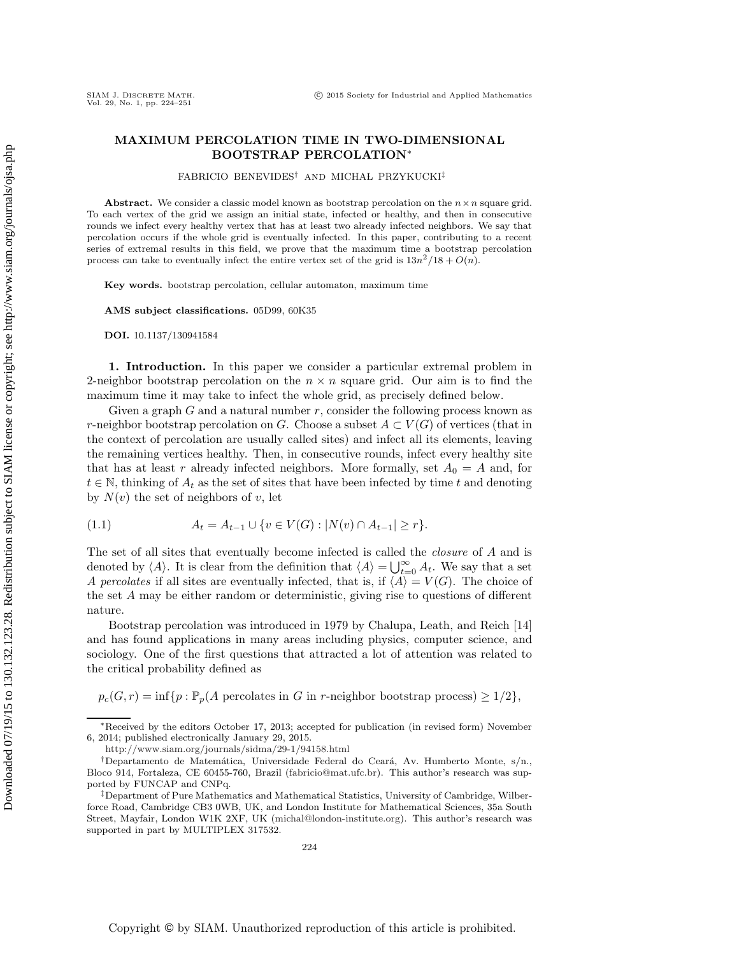## **MAXIMUM PERCOLATION TIME IN TWO-DIMENSIONAL BOOTSTRAP PERCOLATION**<sup>∗</sup>

 $FABRICIO$  BENEVIDES<sup>†</sup> AND MICHAŁ PRZYKUCKI<sup>‡</sup>

**Abstract.** We consider a classic model known as bootstrap percolation on the  $n \times n$  square grid. To each vertex of the grid we assign an initial state, infected or healthy, and then in consecutive rounds we infect every healthy vertex that has at least two already infected neighbors. We say that percolation occurs if the whole grid is eventually infected. In this paper, contributing to a recent series of extremal results in this field, we prove that the maximum time a bootstrap percolation process can take to eventually infect the entire vertex set of the grid is  $13n^2/18 + O(n)$ .

**Key words.** bootstrap percolation, cellular automaton, maximum time

**AMS subject classifications.** 05D99, 60K35

**DOI.** 10.1137/130941584

**1. Introduction.** In this paper we consider a particular extremal problem in 2-neighbor bootstrap percolation on the  $n \times n$  square grid. Our aim is to find the maximum time it may take to infect the whole grid, as precisely defined below.

Given a graph  $G$  and a natural number  $r$ , consider the following process known as r-neighbor bootstrap percolation on G. Choose a subset  $A \subset V(G)$  of vertices (that in the context of percolation are usually called sites) and infect all its elements, leaving the remaining vertices healthy. Then, in consecutive rounds, infect every healthy site that has at least r already infected neighbors. More formally, set  $A_0 = A$  and, for  $t \in \mathbb{N}$ , thinking of  $A_t$  as the set of sites that have been infected by time t and denoting by  $N(v)$  the set of neighbors of v, let

<span id="page-0-0"></span>(1.1) 
$$
A_t = A_{t-1} \cup \{v \in V(G) : |N(v) \cap A_{t-1}| \geq r\}.
$$

The set of all sites that eventually become infected is called the *closure* of A and is denoted by  $\langle A \rangle$ . It is clear from the definition that  $\langle A \rangle = \bigcup_{t=0}^{\infty} A_t$ . We say that a set  $A$  percolates if all sites are eventually infected that is if  $\langle A \rangle = V(G)$ . The choice of A percolates if all sites are eventually infected, that is, if  $\langle A \rangle = V(G)$ . The choice of the set A may be either random or deterministic, giving rise to questions of different nature.

Bootstrap percolation was introduced in 1979 by Chalupa, Leath, and Reich [\[14\]](#page-27-0) and has found applications in many areas including physics, computer science, and sociology. One of the first questions that attracted a lot of attention was related to the critical probability defined as

 $p_c(G, r) = \inf \{ p : \mathbb{P}_p(A \text{ percolates in } G \text{ in } r\text{-neighbor bootstrap process}) \geq 1/2 \},\$ 

<sup>∗</sup>Received by the editors October 17, 2013; accepted for publication (in revised form) November 6, 2014; published electronically January 29, 2015.

<http://www.siam.org/journals/sidma/29-1/94158.html>

<sup>&</sup>lt;sup>†</sup>Departamento de Matemática, Universidade Federal do Ceará, Av. Humberto Monte, s/n., Bloco 914, Fortaleza, CE 60455-760, Brazil [\(fabricio@mat.ufc.br\)](mailto:fabricio@mat.ufc.br). This author's research was supported by FUNCAP and CNPq.

<sup>‡</sup>Department of Pure Mathematics and Mathematical Statistics, University of Cambridge, Wilberforce Road, Cambridge CB3 0WB, UK, and London Institute for Mathematical Sciences, 35a South Street, Mayfair, London W1K 2XF, UK [\(michal@london-institute.org\)](mailto:michal@london-institute.org). This author's research was supported in part by MULTIPLEX 317532.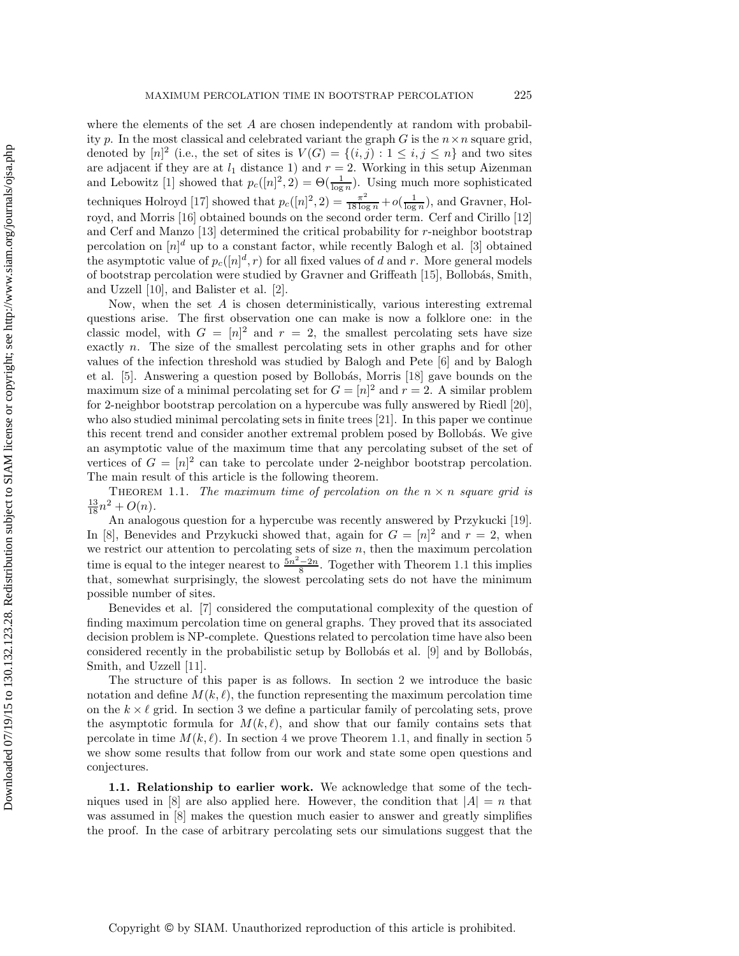where the elements of the set  $A$  are chosen independently at random with probability p. In the most classical and celebrated variant the graph G is the  $n \times n$  square grid, denoted by  $[n]^2$  (i.e., the set of sites is  $V(G) = \{(i,j): 1 \le i,j \le n\}$  and two sites are adjacent if they are at  $l_1$  distance 1) and  $r = 2$ . Working in this setup Aizenman<br>and Lebowitz [\[1\]](#page-27-1) showed that  $p_c([n]^2, 2) = \Theta(\frac{1}{\log n})$ . Using much more sophisticated<br>techniques Holroyd [\[17\]](#page-27-2) showed that  $p_c([n]^2, 2)$ royd, and Morris [\[16\]](#page-27-3) obtained bounds on the second order term. Cerf and Cirillo [\[12\]](#page-27-4) and Cerf and Manzo [\[13\]](#page-27-5) determined the critical probability for r-neighbor bootstrap percolation on  $[n]^d$  up to a constant factor, while recently Balogh et al. [\[3\]](#page-27-6) obtained the asymptotic value of  $p_c([n]^d, r)$  for all fixed values of d and r. More general models of bootstrap percolation were studied by Gravner and Griffeath [\[15\]](#page-27-7), Bollob´as, Smith, and Uzzell [\[10\]](#page-27-8), and Balister et al. [\[2\]](#page-27-9).

Now, when the set  $A$  is chosen deterministically, various interesting extremal questions arise. The first observation one can make is now a folklore one: in the classic model, with  $G = [n]^2$  and  $r = 2$ , the smallest percolating sets have size exactly n. The size of the smallest percolating sets in other graphs and for other values of the infection threshold was studied by Balogh and Pete [\[6\]](#page-27-10) and by Balogh et al. [\[5\]](#page-27-11). Answering a question posed by Bollobás, Morris [\[18\]](#page-27-12) gave bounds on the maximum size of a minimal percolating set for  $G = [n]^2$  and  $r = 2$ . A similar problem for 2-neighbor bootstrap percolation on a hypercube was fully answered by Riedl [\[20\]](#page-27-13), who also studied minimal percolating sets in finite trees [\[21\]](#page-27-14). In this paper we continue this recent trend and consider another extremal problem posed by Bollobás. We give an asymptotic value of the maximum time that any percolating subset of the set of vertices of  $G = [n]^2$  can take to percolate under 2-neighbor bootstrap percolation. The main result of this article is the following theorem.

<span id="page-1-0"></span>THEOREM 1.1. *The maximum time of percolation on the*  $n \times n$  *square grid is*  $\frac{13}{18}n^2 + O(n)$ .<br>An analo

An analogous question for a hypercube was recently answered by Przykucki [\[19\]](#page-27-15). In [\[8\]](#page-27-16), Benevides and Przykucki showed that, again for  $G = [n]^2$  and  $r = 2$ , when we restrict our attention to percolating sets of size  $n$ , then the maximum percolation time is equal to the integer nearest to  $\frac{5n^2-2n}{8}$ . Together with Theorem [1.1](#page-1-0) this implies that, somewhat surprisingly, the slowest percolating sets do not have the minimum possible number of sites.

Benevides et al. [\[7\]](#page-27-17) considered the computational complexity of the question of finding maximum percolation time on general graphs. They proved that its associated decision problem is NP-complete. Questions related to percolation time have also been considered recently in the probabilistic setup by Bollobás et al. [\[9\]](#page-27-18) and by Bollobás, Smith, and Uzzell [\[11\]](#page-27-19).

The structure of this paper is as follows. In section [2](#page-2-0) we introduce the basic notation and define  $M(k, \ell)$ , the function representing the maximum percolation time on the  $k \times \ell$  grid. In section [3](#page-4-0) we define a particular family of percolating sets, prove the asymptotic formula for  $M(k, \ell)$ , and show that our family contains sets that percolate in time  $M(k, \ell)$ . In section [4](#page-15-0) we prove Theorem [1.1,](#page-1-0) and finally in section [5](#page-24-0) we show some results that follow from our work and state some open questions and conjectures.

**1.1. Relationship to earlier work.** We acknowledge that some of the tech-niques used in [\[8\]](#page-27-16) are also applied here. However, the condition that  $|A| = n$  that was assumed in [\[8\]](#page-27-16) makes the question much easier to answer and greatly simplifies the proof. In the case of arbitrary percolating sets our simulations suggest that the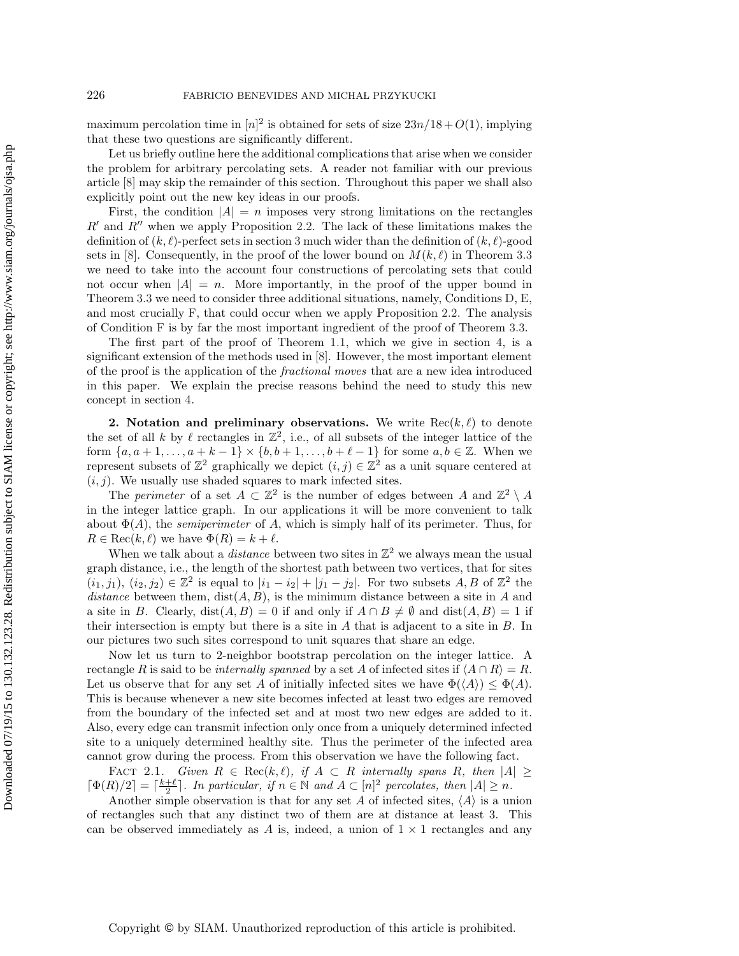maximum percolation time in  $[n]^2$  is obtained for sets of size  $23n/18 + O(1)$ , implying that these two questions are significantly different.

Let us briefly outline here the additional complications that arise when we consider the problem for arbitrary percolating sets. A reader not familiar with our previous article [\[8\]](#page-27-16) may skip the remainder of this section. Throughout this paper we shall also explicitly point out the new key ideas in our proofs.

First, the condition  $|A| = n$  imposes very strong limitations on the rectangles  $R'$  and  $R''$  when we apply Proposition [2.2.](#page-3-0) The lack of these limitations makes the definition of  $(k, \ell)$ -perfect sets in section [3](#page-4-0) much wider than the definition of  $(k, \ell)$ -good sets in [\[8\]](#page-27-16). Consequently, in the proof of the lower bound on  $M(k, \ell)$  in Theorem [3.3](#page-7-0) we need to take into the account four constructions of percolating sets that could not occur when  $|A| = n$ . More importantly, in the proof of the upper bound in Theorem [3.3](#page-7-0) we need to consider three additional situations, namely, Conditions [D,](#page-10-0) [E,](#page-10-1) and most crucially [F,](#page-10-2) that could occur when we apply Proposition [2.2.](#page-3-0) The analysis of Condition [F](#page-10-2) is by far the most important ingredient of the proof of Theorem [3.3.](#page-7-0)

The first part of the proof of Theorem [1.1,](#page-1-0) which we give in section [4,](#page-15-0) is a significant extension of the methods used in [\[8\]](#page-27-16). However, the most important element of the proof is the application of the *fractional moves* that are a new idea introduced in this paper. We explain the precise reasons behind the need to study this new concept in section [4.](#page-15-0)

<span id="page-2-0"></span>**2.** Notation and preliminary observations. We write  $\text{Rec}(k, \ell)$  to denote the set of all k by  $\ell$  rectangles in  $\mathbb{Z}^2$ , i.e., of all subsets of the integer lattice of the form  $\{a, a+1, \ldots, a+k-1\} \times \{b, b+1, \ldots, b+\ell-1\}$  for some  $a, b \in \mathbb{Z}$ . When we represent subsets of  $\mathbb{Z}^2$  graphically we depict  $(i, j) \in \mathbb{Z}^2$  as a unit square centered at  $(i, j)$ . We usually use shaded squares to mark infected sites.

The *perimeter* of a set  $A \subset \mathbb{Z}^2$  is the number of edges between A and  $\mathbb{Z}^2 \setminus A$ in the integer lattice graph. In our applications it will be more convenient to talk about  $\Phi(A)$ , the *semiperimeter* of A, which is simply half of its perimeter. Thus, for  $R \in \text{Rec}(k, \ell)$  we have  $\Phi(R) = k + \ell$ .

When we talk about a *distance* between two sites in  $\mathbb{Z}^2$  we always mean the usual graph distance, i.e., the length of the shortest path between two vertices, that for sites  $(i_1, j_1), (i_2, j_2) \in \mathbb{Z}^2$  is equal to  $|i_1 - i_2| + |j_1 - j_2|$ . For two subsets A, B of  $\mathbb{Z}^2$  the *distance* between them,  $dist(A, B)$ , is the minimum distance between a site in A and a site in B. Clearly,  $dist(A, B) = 0$  if and only if  $A \cap B \neq \emptyset$  and  $dist(A, B) = 1$  if their intersection is empty but there is a site in  $A$  that is adjacent to a site in  $B$ . In our pictures two such sites correspond to unit squares that share an edge.

Now let us turn to 2-neighbor bootstrap percolation on the integer lattice. A rectangle R is said to be *internally spanned* by a set A of infected sites if  $\langle A \cap R \rangle = R$ . Let us observe that for any set A of initially infected sites we have  $\Phi(\langle A \rangle) \leq \Phi(A)$ . This is because whenever a new site becomes infected at least two edges are removed from the boundary of the infected set and at most two new edges are added to it. Also, every edge can transmit infection only once from a uniquely determined infected site to a uniquely determined healthy site. Thus the perimeter of the infected area cannot grow during the process. From this observation we have the following fact.

<span id="page-2-1"></span>FACT 2.1. *Given*  $R \in Rec(k, \ell)$ , if  $A \subset R$  internally spans R, then  $|A| \ge$  $\lceil \Phi(R)/2 \rceil = \lceil \frac{k+\ell}{2} \rceil$ . In particular, if  $n \in \mathbb{N}$  and  $A \subset [n]^2$  percolates, then  $|A| \ge n$ .<br>Another simple observation is that for any set A of infected sites  $\langle A \rangle$  is a un

Another simple observation is that for any set A of infected sites,  $\langle A \rangle$  is a union of rectangles such that any distinct two of them are at distance at least 3. This can be observed immediately as A is, indeed, a union of  $1 \times 1$  rectangles and any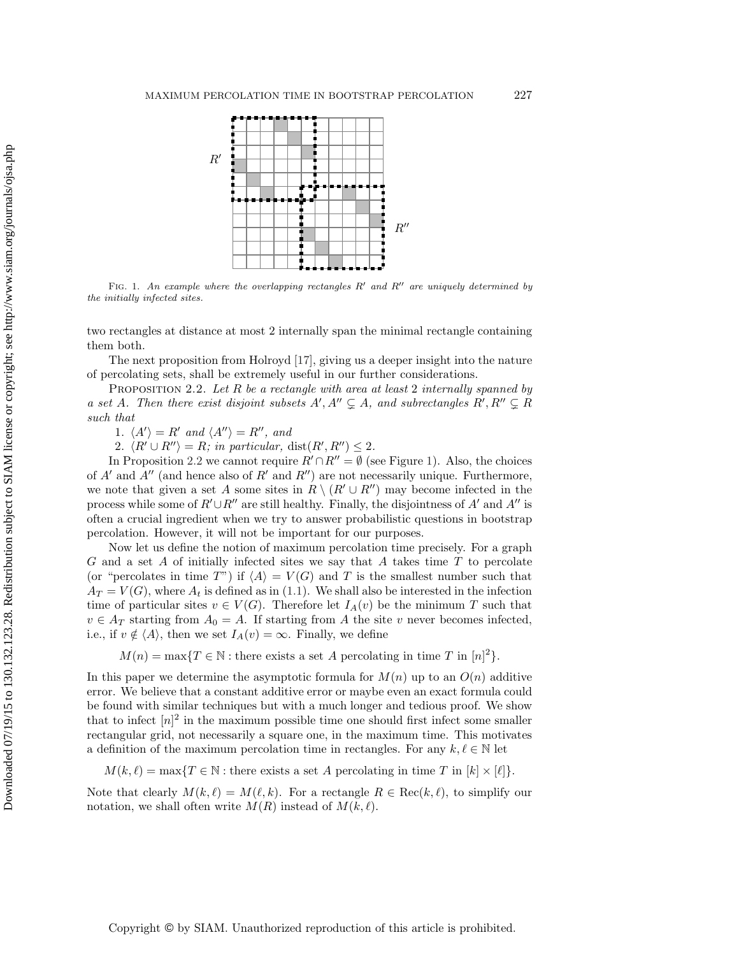

<span id="page-3-1"></span>FIG. 1. An example where the overlapping rectangles  $R'$  and  $R''$  are uniquely determined by the initially infected sites.

two rectangles at distance at most 2 internally span the minimal rectangle containing them both.

The next proposition from Holroyd [\[17\]](#page-27-2), giving us a deeper insight into the nature of percolating sets, shall be extremely useful in our further considerations.

Proposition 2.2. *Let* R *be a rectangle with area at least* 2 *internally spanned by a set* A. Then there exist disjoint subsets  $A', A'' \subsetneq A$ , and subrectangles  $R', R'' \subsetneq R$ *such that*

<span id="page-3-0"></span>1.  $\langle A' \rangle = R'$  and  $\langle A'' \rangle = R''$ , and

2.  $\langle R' \cup R'' \rangle = R$ ; in particular, dist $(R', R'') \leq 2$ .

In Proposition [2.2](#page-3-0) we cannot require  $R' \cap R'' = \emptyset$  (see Figure [1\)](#page-3-1). Also, the choices of  $A'$  and  $A''$  (and hence also of  $R'$  and  $R''$ ) are not necessarily unique. Furthermore, we note that given a set A some sites in  $R \setminus (R' \cup R'')$  may become infected in the process while some of  $R' \cup R''$  are still healthy. Finally, the disjointness of A' and A'' is often a crucial ingredient when we try to answer probabilistic questions in bootstrap percolation. However, it will not be important for our purposes.

Now let us define the notion of maximum percolation time precisely. For a graph  $G$  and a set  $A$  of initially infected sites we say that  $A$  takes time  $T$  to percolate (or "percolates in time T") if  $\langle A \rangle = V(G)$  and T is the smallest number such that  $A_T = V(G)$ , where  $A_t$  is defined as in [\(1.1\)](#page-0-0). We shall also be interested in the infection time of particular sites  $v \in V(G)$ . Therefore let  $I_A(v)$  be the minimum T such that  $v \in A_T$  starting from  $A_0 = A$ . If starting from A the site v never becomes infected, i.e., if  $v \notin \langle A \rangle$ , then we set  $I_A(v) = \infty$ . Finally, we define

 $M(n) = \max\{T \in \mathbb{N} : \text{there exists a set } A \text{ percolating in time } T \text{ in } [n]^2\}.$ 

In this paper we determine the asymptotic formula for  $M(n)$  up to an  $O(n)$  additive error. We believe that a constant additive error or maybe even an exact formula could be found with similar techniques but with a much longer and tedious proof. We show that to infect  $[n]^2$  in the maximum possible time one should first infect some smaller rectangular grid, not necessarily a square one, in the maximum time. This motivates a definition of the maximum percolation time in rectangles. For any  $k, \ell \in \mathbb{N}$  let

 $M(k, \ell) = \max\{T \in \mathbb{N} : \text{there exists a set } A \text{ percolating in time } T \text{ in } [k] \times [\ell]\}.$ 

Note that clearly  $M(k, \ell) = M(\ell, k)$ . For a rectangle  $R \in \text{Rec}(k, \ell)$ , to simplify our notation, we shall often write  $\hat{M}(R)$  instead of  $\hat{M}(k, \ell)$ .

Copyright © by SIAM. Unauthorized reproduction of this article is prohibited.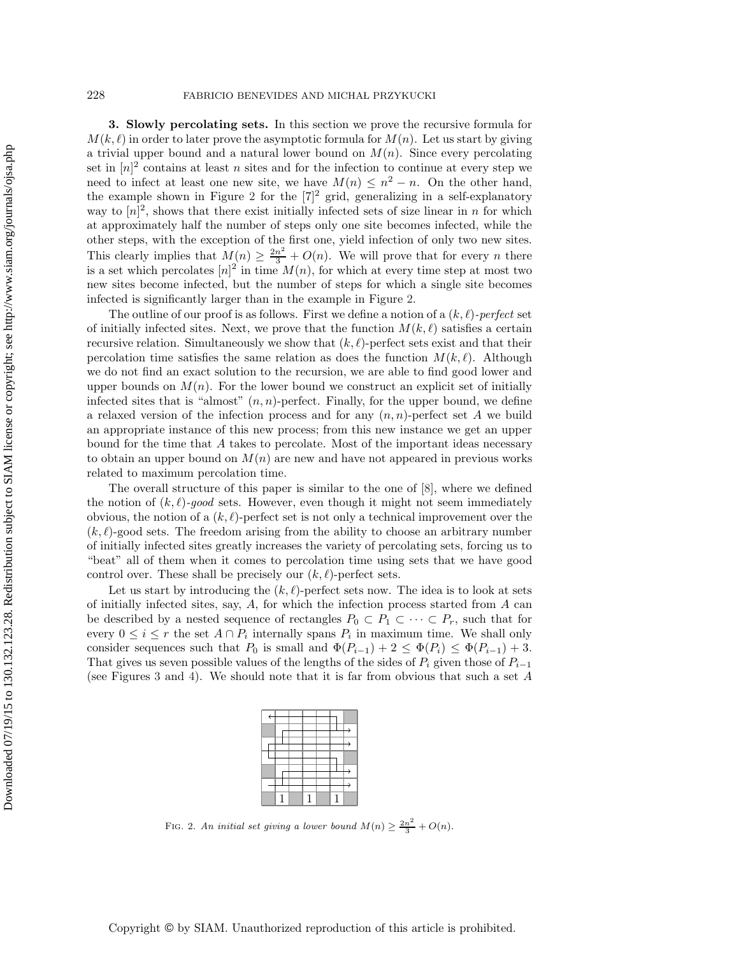<span id="page-4-0"></span>**3. Slowly percolating sets.** In this section we prove the recursive formula for  $M(k, \ell)$  in order to later prove the asymptotic formula for  $M(n)$ . Let us start by giving a trivial upper bound and a natural lower bound on  $M(n)$ . Since every percolating set in  $[n]^2$  contains at least n sites and for the infection to continue at every step we need to infect at least one new site, we have  $M(n) \leq n^2 - n$ . On the other hand, the example shown in Figure [2](#page-4-1) for the  $[7]^2$  grid, generalizing in a self-explanatory way to  $[n]^2$ , shows that there exist initially infected sets of size linear in n for which at approximately half the number of steps only one site becomes infected, while the other steps, with the exception of the first one, yield infection of only two new sites. This clearly implies that  $M(n) \geq \frac{2n^2}{3} + O(n)$ . We will prove that for every *n* there is a set which percolates  $[n]^2$  in time  $M(n)$ , for which at every time step at most two new sites become infected, but the number of steps for which a single site becomes infected is significantly larger than in the example in Figure [2.](#page-4-1)

The outline of our proof is as follows. First we define a notion of a  $(k, \ell)$ -perfect set of initially infected sites. Next, we prove that the function  $M(k, \ell)$  satisfies a certain recursive relation. Simultaneously we show that  $(k, \ell)$ -perfect sets exist and that their percolation time satisfies the same relation as does the function  $M(k, \ell)$ . Although we do not find an exact solution to the recursion, we are able to find good lower and upper bounds on  $M(n)$ . For the lower bound we construct an explicit set of initially infected sites that is "almost"  $(n, n)$ -perfect. Finally, for the upper bound, we define a relaxed version of the infection process and for any  $(n, n)$ -perfect set A we build an appropriate instance of this new process; from this new instance we get an upper bound for the time that A takes to percolate. Most of the important ideas necessary to obtain an upper bound on  $M(n)$  are new and have not appeared in previous works related to maximum percolation time.

The overall structure of this paper is similar to the one of [\[8\]](#page-27-16), where we defined the notion of  $(k, \ell)$ -good sets. However, even though it might not seem immediately obvious, the notion of a  $(k, \ell)$ -perfect set is not only a technical improvement over the  $(k, \ell)$ -good sets. The freedom arising from the ability to choose an arbitrary number of initially infected sites greatly increases the variety of percolating sets, forcing us to "beat" all of them when it comes to percolation time using sets that we have good control over. These shall be precisely our  $(k, \ell)$ -perfect sets.

Let us start by introducing the  $(k, \ell)$ -perfect sets now. The idea is to look at sets of initially infected sites, say,  $A$ , for which the infection process started from  $A$  can be described by a nested sequence of rectangles  $P_0 \subset P_1 \subset \cdots \subset P_r$ , such that for every  $0 \leq i \leq r$  the set  $A \cap P_i$  internally spans  $P_i$  in maximum time. We shall only consider sequences such that  $P_0$  is small and  $\Phi(P_{i-1})+2 \leq \Phi(P_i) \leq \Phi(P_{i-1})+3$ . That gives us seven possible values of the lengths of the sides of  $P_i$  given those of  $P_{i-1}$ (see Figures [3](#page-6-0) and [4\)](#page-6-1). We should note that it is far from obvious that such a set A

<span id="page-4-1"></span>FIG. 2. An initial set giving a lower bound  $M(n) \geq \frac{2n^2}{3} + O(n)$ .

Copyright © by SIAM. Unauthorized reproduction of this article is prohibited.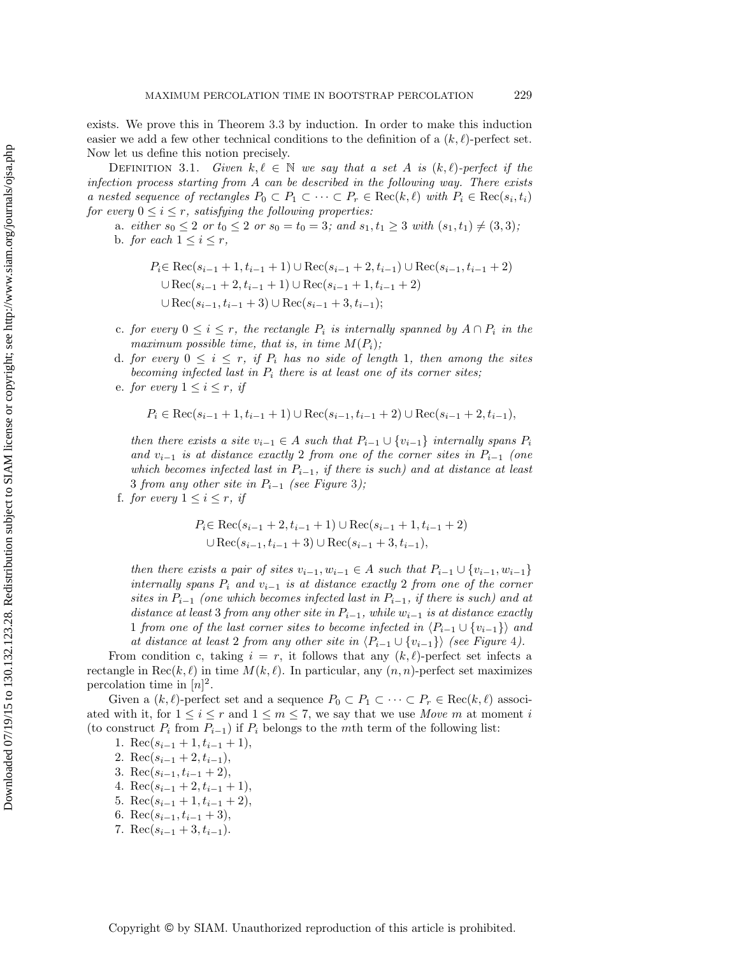exists. We prove this in Theorem [3.3](#page-7-0) by induction. In order to make this induction easier we add a few other technical conditions to the definition of a  $(k, \ell)$ -perfect set. Now let us define this notion precisely.

<span id="page-5-0"></span>DEFINITION 3.1. *Given*  $k, \ell \in \mathbb{N}$  we say that a set A is  $(k, \ell)$ -perfect if the *infection process starting from* A *can be described in the following way. There exists a nested sequence of rectangles*  $P_0 \subset P_1 \subset \cdots \subset P_r \in \text{Rec}(k, \ell)$  *with*  $P_i \in \text{Rec}(s_i, t_i)$ <br>for every  $0 \le i \le n$  estimatives the following proportion. *for every*  $0 \le i \le r$ *, satisfying the following properties:* 

a. *either*  $s_0 \leq 2$  *or*  $t_0 \leq 2$  *or*  $s_0 = t_0 = 3$ *;* and  $s_1, t_1 \geq 3$  *with*  $(s_1, t_1) \neq (3, 3)$ *;* b. *for each*  $1 \leq i \leq r$ ,

$$
P_i \in \text{Rec}(s_{i-1} + 1, t_{i-1} + 1) \cup \text{Rec}(s_{i-1} + 2, t_{i-1}) \cup \text{Rec}(s_{i-1}, t_{i-1} + 2)
$$
  

$$
\cup \text{Rec}(s_{i-1} + 2, t_{i-1} + 1) \cup \text{Rec}(s_{i-1} + 1, t_{i-1} + 2)
$$
  

$$
\cup \text{Rec}(s_{i-1}, t_{i-1} + 3) \cup \text{Rec}(s_{i-1} + 3, t_{i-1});
$$

- c. *for every*  $0 ≤ i ≤ r$ *, the rectangle*  $P_i$  *is internally spanned by*  $A ∩ P_i$  *in the maximum possible time, that is, in time*  $M(P_i)$ ;
- d. *for every*  $0 \leq i \leq r$ , *if*  $P_i$  *has no side of length* 1*, then among the sites becoming infected last in* P<sup>i</sup> *there is at least one of its corner sites;*
- e. *for every*  $1 \leq i \leq r$ , *if*

$$
P_i \in \text{Rec}(s_{i-1}+1, t_{i-1}+1) \cup \text{Rec}(s_{i-1}, t_{i-1}+2) \cup \text{Rec}(s_{i-1}+2, t_{i-1}),
$$

*then there exists a site*  $v_{i-1} \in A$  *such that*  $P_{i-1} \cup \{v_{i-1}\}$  *internally spans*  $P_i$ *and* <sup>v</sup><sup>i</sup>−1 *is at distance exactly* <sup>2</sup> *from one of the corner sites in* <sup>P</sup><sup>i</sup>−1 *(one which becomes infected last in*  $P_{i-1}$ *, if there is such) and at distance at least* <sup>3</sup> *from any other site in* <sup>P</sup><sup>i</sup>−1 *(see Figure* [3](#page-6-0)*);*

f. *for every*  $1 \leq i \leq r$ *, if* 

$$
P_i \in \text{Rec}(s_{i-1} + 2, t_{i-1} + 1) \cup \text{Rec}(s_{i-1} + 1, t_{i-1} + 2)
$$
  

$$
\cup \text{Rec}(s_{i-1}, t_{i-1} + 3) \cup \text{Rec}(s_{i-1} + 3, t_{i-1}),
$$

*then there exists a pair of sites*  $v_{i-1}, w_{i-1} \in A$  *such that*  $P_{i-1} \cup \{v_{i-1}, w_{i-1}\}$ *internally spans* <sup>P</sup><sup>i</sup> *and* <sup>v</sup><sup>i</sup>−1 *is at distance exactly* <sup>2</sup> *from one of the corner sites in* <sup>P</sup><sup>i</sup>−1 *(one which becomes infected last in* <sup>P</sup><sup>i</sup>−1*, if there is such) and at distance at least* 3 *from any other site in*  $P_{i-1}$ *, while*  $w_{i-1}$  *is at distance exactly* 1 *from one of the last corner sites to become infected in*  $\langle P_{i-1} \cup \{v_{i-1}\}\rangle$  *and at distance at least* 2 *from any other site in*  $\langle P_{i-1} \cup \{v_{i-1}\}\rangle$  (see Figure [4](#page-6-1)).

From condition c, taking  $i = r$ , it follows that any  $(k, \ell)$ -perfect set infects a rectangle in Rec $(k, \ell)$  in time  $M(k, \ell)$ . In particular, any  $(n, n)$ -perfect set maximizes percolation time in  $[n]^2$ .

Given a  $(k, \ell)$ -perfect set and a sequence  $P_0 \subset P_1 \subset \cdots \subset P_r \in \text{Rec}(k, \ell)$  associ-<br>with it for  $1 \leq i \leq r$  and  $1 \leq r \leq 7$  we see that we use May see at more of i ated with it, for  $1 \leq i \leq r$  and  $1 \leq m \leq 7$ , we say that we use *Move* m at moment i (to construct  $P_i$  from  $P_{i-1}$ ) if  $P_i$  belongs to the mth term of the following list:

- 1. Rec( $s_{i-1}+1, t_{i-1}+1$ ),
- 2. Rec( $s_{i-1}$  + 2,  $t_{i-1}$ ),
- 3. Rec $(s_{i-1}, t_{i-1} + 2)$ ,
- 4. Rec( $s_{i-1}$  + 2,  $t_{i-1}$  + 1),
- 5. Rec( $s_{i-1}+1, t_{i-1}+2$ ),
- 6. Rec( $s_{i-1}, t_{i-1} + 3$ ),
- 7. Rec( $s_{i-1}$  + 3,  $t_{i-1}$ ).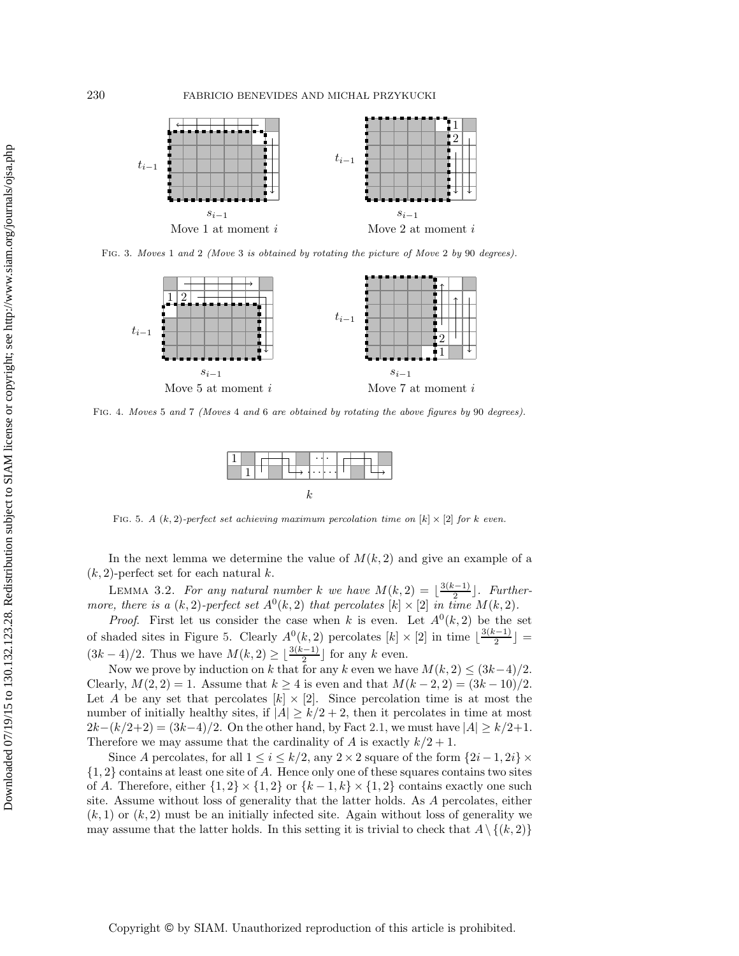

Fig. 3. Moves 1 and 2 (Move 3 is obtained by rotating the picture of Move 2 by 90 degrees).

<span id="page-6-0"></span>

<span id="page-6-1"></span>Fig. 4. Moves 5 and 7 (Moves 4 and 6 are obtained by rotating the above figures by 90 degrees).



<span id="page-6-2"></span>FIG. 5. A  $(k, 2)$ -perfect set achieving maximum percolation time on  $[k] \times [2]$  for k even.

In the next lemma we determine the value of  $M(k, 2)$  and give an example of a  $(k, 2)$ -perfect set for each natural k.

<span id="page-6-3"></span>LEMMA 3.2. For any natural number k we have  $M(k, 2) = \left\lfloor \frac{3(k-1)}{2} \right\rfloor$ . Further-<br>e there is a (k 2)-nerfect set  $A^0(k, 2)$  that percolates [k] × [2] in time  $M(k, 2)$ *more, there is a*  $(k, 2)$ *-perfect set*  $A^0(k, 2)$  *that percolates*  $[k] \times [2]$  *in time*  $M(k, 2)$ *.* 

*Proof.* First let us consider the case when k is even. Let  $A^0(k, 2)$  be the set of shaded sites in Figure [5.](#page-6-2) Clearly  $A^0(k, 2)$  percolates  $[k] \times [2]$  in time  $\lfloor \frac{3(k-1)}{2} \rfloor =$  $(3k-4)/2$ . Thus we have  $M(k, 2) \geq \lfloor \frac{3(k-1)}{2} \rfloor$  for any k even.

Now we prove by induction on k that for any k even we have  $M(k, 2) \leq (3k-4)/2$ . Clearly,  $M(2, 2) = 1$ . Assume that  $k \ge 4$  is even and that  $M(k-2, 2) = (3k-10)/2$ . Let A be any set that percolates  $[k] \times [2]$ . Since percolation time is at most the number of initially healthy sites, if  $|A| \ge k/2 + 2$ , then it percolates in time at most  $2k-(k/2+2) = (3k-4)/2$ . On the other hand, by Fact [2.1,](#page-2-1) we must have  $|A| \ge k/2+1$ . Therefore we may assume that the cardinality of A is exactly  $k/2 + 1$ .

Since A percolates, for all  $1 \le i \le k/2$ , any  $2 \times 2$  square of the form  $\{2i-1, 2i\} \times$  $\{1, 2\}$  contains at least one site of A. Hence only one of these squares contains two sites of A. Therefore, either  $\{1,2\} \times \{1,2\}$  or  $\{k-1,k\} \times \{1,2\}$  contains exactly one such site. Assume without loss of generality that the latter holds. As A percolates, either  $(k, 1)$  or  $(k, 2)$  must be an initially infected site. Again without loss of generality we may assume that the latter holds. In this setting it is trivial to check that  $A \setminus \{(k, 2)\}$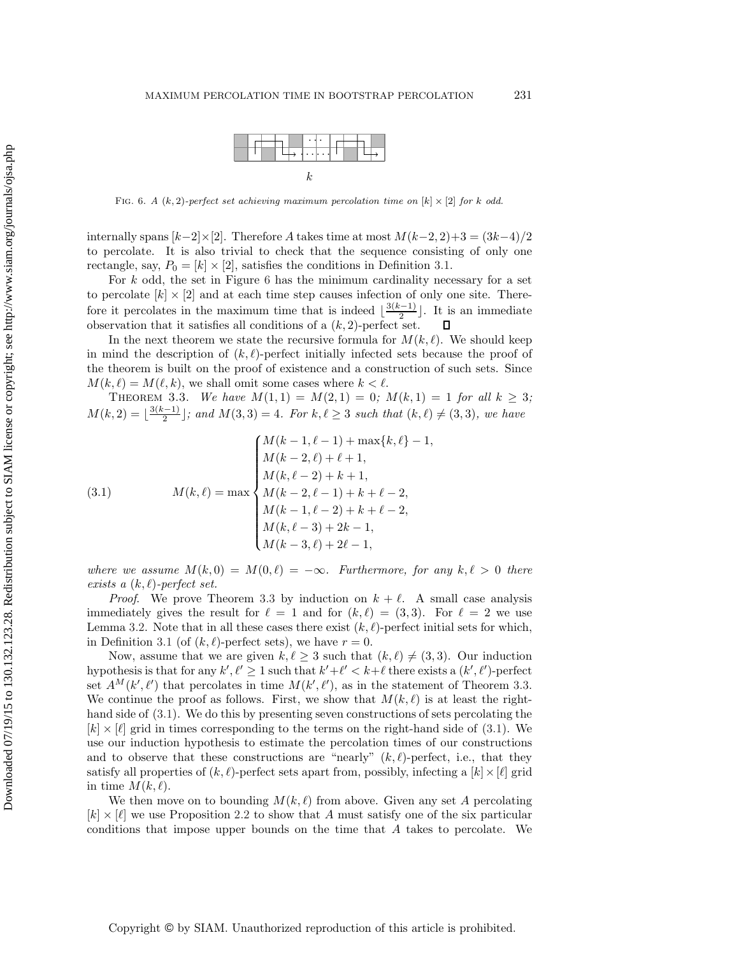<span id="page-7-2"></span>

<span id="page-7-1"></span>FIG. 6. A  $(k, 2)$ -perfect set achieving maximum percolation time on  $[k] \times [2]$  for k odd.

internally spans  $[k-2] \times [2]$ . Therefore A takes time at most  $M(k-2, 2)+3 = (3k-4)/2$ to percolate. It is also trivial to check that the sequence consisting of only one rectangle, say,  $P_0 = [k] \times [2]$ , satisfies the conditions in Definition [3.1.](#page-5-0)

For  $k$  odd, the set in Figure [6](#page-7-1) has the minimum cardinality necessary for a set to percolate  $[k] \times [2]$  and at each time step causes infection of only one site. Therefore it percolates in the maximum time that is indeed  $\lfloor \frac{3(k-1)}{2} \rfloor$ . It is an immediate<br>observation that it satisfies all conditions of a  $(k, 2)$ -perfect set  $\Box$ observation that it satisfies all conditions of a  $(k, 2)$ -perfect set.

In the next theorem we state the recursive formula for  $M(k, \ell)$ . We should keep in mind the description of  $(k, \ell)$ -perfect initially infected sets because the proof of the theorem is built on the proof of existence and a construction of such sets. Since  $M(k, \ell) = M(\ell, k)$ , we shall omit some cases where  $k < \ell$ .

<span id="page-7-0"></span>THEOREM 3.3. *We have*  $M(1,1) = M(2,1) = 0$ ;  $M(k,1) = 1$  *for all*  $k \geq 3$ ;  $M(k, 2) = \lfloor \frac{3(k-1)}{2} \rfloor$ ; and  $M(3, 3) = 4$ . For  $k, \ell \geq 3$  such that  $(k, \ell) \neq (3, 3)$ , we have

(3.1) 
$$
M(k, \ell) = \max \begin{cases} M(k-1, \ell-1) + \max\{k, \ell\} - 1, \\ M(k-2, \ell) + \ell + 1, \\ M(k, \ell-2) + k + 1, \\ M(k-2, \ell-1) + k + \ell - 2, \\ M(k-1, \ell-2) + k + \ell - 2, \\ M(k, \ell-3) + 2k - 1, \\ M(k-3, \ell) + 2\ell - 1, \end{cases}
$$

*where we assume*  $M(k, 0) = M(0, \ell) = -\infty$ . Furthermore, for any  $k, \ell > 0$  there  $exists a (k, l)$ -perfect set.

*Proof.* We prove Theorem [3.3](#page-7-0) by induction on  $k + \ell$ . A small case analysis immediately gives the result for  $\ell = 1$  and for  $(k, \ell) = (3, 3)$ . For  $\ell = 2$  we use Lemma [3.2.](#page-6-3) Note that in all these cases there exist  $(k, \ell)$ -perfect initial sets for which, in Definition [3.1](#page-5-0) (of  $(k, \ell)$ -perfect sets), we have  $r = 0$ .

Now, assume that we are given  $k, \ell \geq 3$  such that  $(k, \ell) \neq (3, 3)$ . Our induction hypothesis is that for any  $k', \ell' \geq 1$  such that  $k' + \ell' < k + \ell$  there exists a  $(k', \ell')$ -perfect set  $A^M(k',\ell')$  that percolates in time  $M(k',\ell')$ , as in the statement of Theorem [3.3.](#page-7-0) We continue the proof as follows. First, we show that  $M(k, \ell)$  is at least the righthand side of  $(3.1)$ . We do this by presenting seven constructions of sets percolating the  $[k] \times [\ell]$  grid in times corresponding to the terms on the right-hand side of [\(3.1\)](#page-7-2). We use our induction hypothesis to estimate the percolation times of our constructions and to observe that these constructions are "nearly"  $(k, \ell)$ -perfect, i.e., that they satisfy all properties of  $(k, \ell)$ -perfect sets apart from, possibly, infecting a  $[k] \times [\ell]$  grid in time  $M(k, \ell)$ .

We then move on to bounding  $M(k, \ell)$  from above. Given any set A percolating  $[k] \times [\ell]$  we use Proposition [2.2](#page-3-0) to show that A must satisfy one of the six particular conditions that impose upper bounds on the time that A takes to percolate. We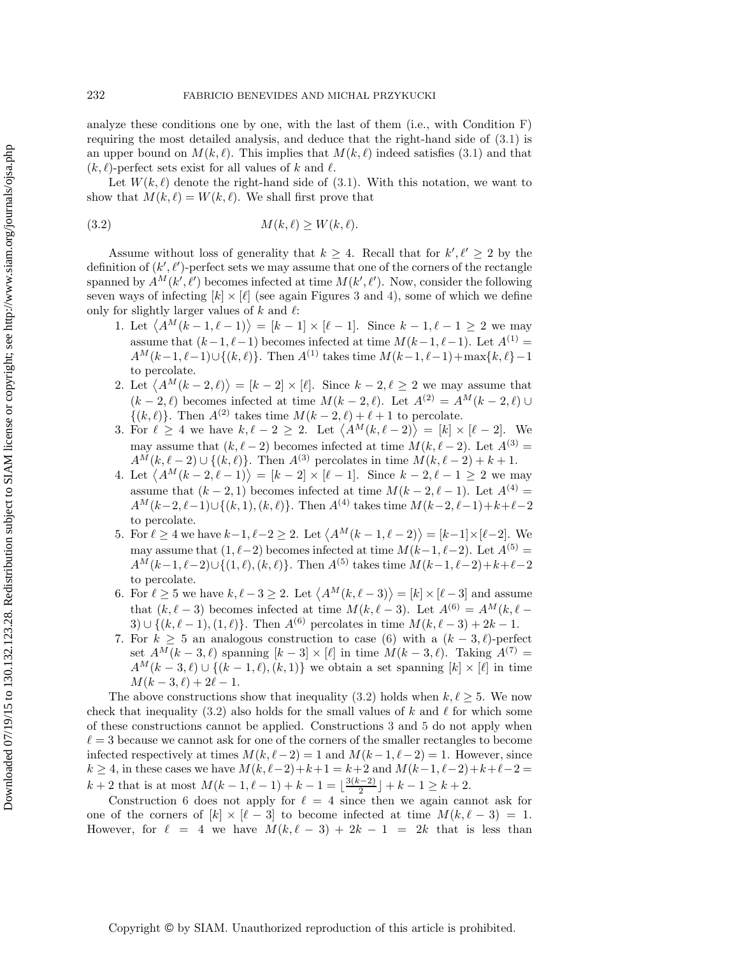analyze these conditions one by one, with the last of them (i.e., with Condition [F\)](#page-10-2) requiring the most detailed analysis, and deduce that the right-hand side of [\(3.1\)](#page-7-2) is an upper bound on  $M(k, \ell)$ . This implies that  $M(k, \ell)$  indeed satisfies [\(3.1\)](#page-7-2) and that  $(k, \ell)$ -perfect sets exist for all values of k and  $\ell$ .

<span id="page-8-1"></span>Let  $W(k, \ell)$  denote the right-hand side of [\(3.1\)](#page-7-2). With this notation, we want to show that  $M(k, \ell) = W(k, \ell)$ . We shall first prove that

$$
(3.2) \t\t\t M(k,\ell) \ge W(k,\ell).
$$

Assume without loss of generality that  $k \geq 4$ . Recall that for  $k', \ell' \geq 2$  by the definition of  $(k', \ell')$ -perfect sets we may assume that one of the corners of the rectangle spanned by  $\hat{A}^M(k',\ell')$  becomes infected at time  $M(k',\ell')$ . Now, consider the following seven ways of infecting  $[k] \times [\ell]$  (see again Figures [3](#page-6-0) and [4\)](#page-6-1), some of which we define only for slightly larger values of  $k$  and  $\ell$ :

- 1. Let  $\langle A^M(k-1,\ell-1)\rangle = [k-1] \times [\ell-1]$ . Since  $k-1,\ell-1 \geq 2$  we may assume that  $(k-1, \ell-1)$  becomes infected at time  $M(k-1, \ell-1)$ . Let  $A^{(1)} =$  $A^M(k-1,\ell-1) \cup \{(k,\ell)\}\.$  Then  $A^{(1)}$  takes time  $M(k-1,\ell-1)+\max\{k,\ell\}-1$ to percolate.
- 2. Let  $\langle A^M(k-2,\ell) \rangle = [k-2] \times [\ell]$ . Since  $k-2,\ell \geq 2$  we may assume that  $(k-2,\ell)$  becomes infected at time  $M(k-2,\ell)$ . Let  $A^{(2)} = A^M(k-2,\ell) \cup$  $\{(k,\ell)\}\.$  Then  $A^{(2)}$  takes time  $M(k-2,\ell)+\ell+1$  to percolate.
- <span id="page-8-2"></span>3. For  $\ell \geq 4$  we have  $k, \ell - 2 \geq 2$ . Let  $\langle A^M(k, \ell - 2) \rangle = [k] \times [\ell - 2]$ . We may assume that  $(k, \ell - 2)$  becomes infected at time  $M(k, \ell - 2)$ . Let  $A^{(3)} =$  $A^{\tilde{M}}(k, \ell - 2) \cup \{(k, \ell)\}\.$  Then  $A^{(3)}$  percolates in time  $\tilde{M}(k, \ell - 2) + k + 1$ .
- 4. Let  $\langle A^M(k-2,\ell-1)\rangle = [k-2] \times [\ell-1]$ . Since  $k-2,\ell-1 \geq 2$  we may assume that  $(k-2,1)$  becomes infected at time  $M(k-2,\ell-1)$ . Let  $A^{(4)} =$  $A^M(k-2,\ell-1)\cup\{(k,1),(k,\ell)\}\.$  Then  $A^{(4)}$  takes time  $M(k-2,\ell-1)+k+\ell-2$ to percolate.
- <span id="page-8-3"></span>5. For  $\ell \ge 4$  we have  $k-1, \ell-2 \ge 2$ . Let  $\langle A^M(k-1, \ell-2) \rangle = [k-1] \times [\ell-2]$ . We may assume that  $(1, \ell - 2)$  becomes infected at time  $M(k-1, \ell - 2)$ . Let  $A^{(5)} =$  $A^{\tilde{M}}(k-1, \ell-2) \cup \{(1, \ell), (k, \ell)\}.$  Then  $A^{(5)}$  takes time  $M(k-1, \ell-2)+k+\ell-2$ to percolate.
- <span id="page-8-0"></span>6. For  $\ell \geq 5$  we have  $k, \ell - 3 \geq 2$ . Let  $\langle A^M(k, \ell - 3) \rangle = [k] \times [\ell - 3]$  and assume that  $(k, \ell - 3)$  becomes infected at time  $M(k, \ell - 3)$ . Let  $A^{(6)} = A^M(k, \ell - 3)$ 3)  $\cup \{ (k, \ell - 1), (1, \ell) \}.$  Then  $A^{(6)}$  percolates in time  $M(k, \ell - 3) + 2k - 1.$
- <span id="page-8-4"></span>7. For  $k \geq 5$  an analogous construction to case [\(6\)](#page-8-0) with a  $(k-3, \ell)$ -perfect set  $A^{M}(k-3, \ell)$  spanning  $[k-3] \times [\ell]$  in time  $M(k-3, \ell)$ . Taking  $A^{(7)} =$  $A^M(k-3,\ell) \cup \{(k-1,\ell),(k,1)\}\$  we obtain a set spanning  $[k] \times [\ell]$  in time  $M(k-3, \ell) + 2\ell - 1.$

The above constructions show that inequality [\(3.2\)](#page-8-1) holds when  $k, \ell \geq 5$ . We now check that inequality [\(3.2\)](#page-8-1) also holds for the small values of k and  $\ell$  for which some of these constructions cannot be applied. Constructions [3](#page-8-2) and [5](#page-8-3) do not apply when  $\ell = 3$  because we cannot ask for one of the corners of the smaller rectangles to become infected respectively at times  $M(k, \ell - 2) = 1$  and  $M(k - 1, \ell - 2) = 1$ . However, since  $k \ge 4$ , in these cases we have  $M(k, \ell-2) + k+1 = k+2$  and  $M(k-1, \ell-2) + k+\ell-2 =$  $k+2$  that is at most  $M(k-1, \ell-1) + k - 1 = \lfloor \frac{3(k-2)}{2} \rfloor + k - 1 \ge k+2$ .<br>Construction 6 does not apply for  $\ell - 4$  since then we again can

Construction [6](#page-8-0) does not apply for  $\ell = 4$  since then we again cannot ask for one of the corners of  $[k] \times [\ell-3]$  to become infected at time  $M(k, \ell-3) = 1$ . However, for  $\ell = 4$  we have  $M(k, \ell - 3) + 2k - 1 = 2k$  that is less than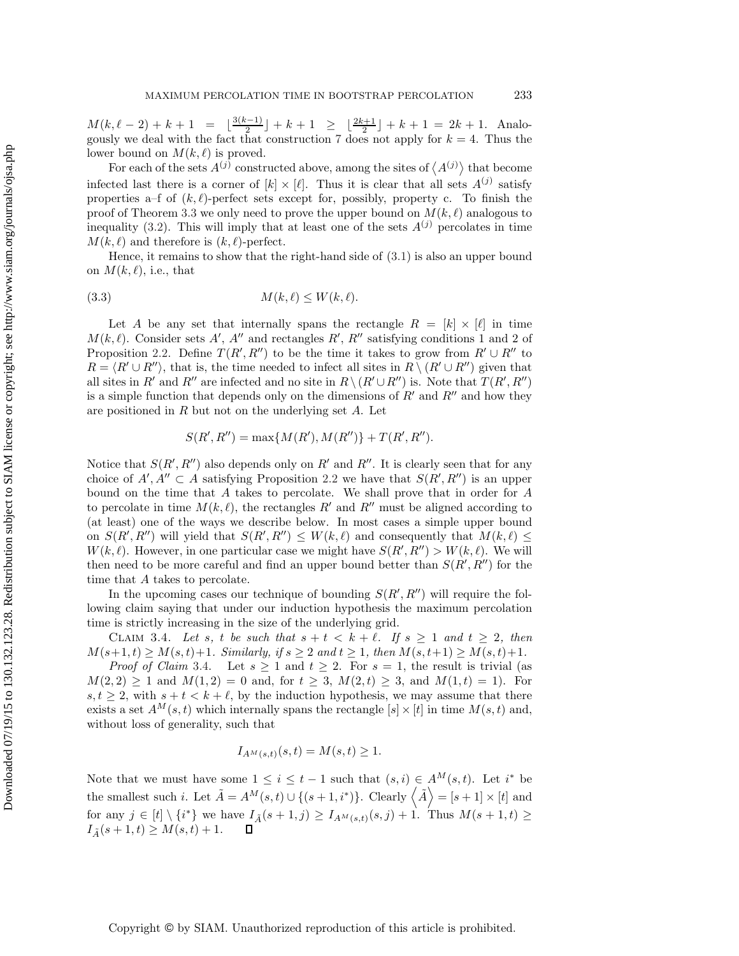$M(k, \ell - 2) + k + 1 = \lfloor \frac{3(k-1)}{2} \rfloor + k + 1 \ge \lfloor \frac{2k+1}{2} \rfloor + k + 1 = 2k + 1$ . Analogously we deal with the fact that construction [7](#page-8-4) does not apply for  $k = 4$ . Thus the lower bound on  $M(k, \ell)$  is proved.

For each of the sets  $A^{(j)}$  constructed above, among the sites of  $\langle A^{(j)} \rangle$  that become infected last there is a corner of  $[k] \times [\ell]$ . Thus it is clear that all sets  $A^{(j)}$  satisfy properties a–f of  $(k, \ell)$ -perfect sets except for, possibly, property c. To finish the proof of Theorem [3.3](#page-7-0) we only need to prove the upper bound on  $M(k, \ell)$  analogous to inequality [\(3.2\)](#page-8-1). This will imply that at least one of the sets  $A^{(j)}$  percolates in time  $M(k, \ell)$  and therefore is  $(k, \ell)$ -perfect.

Hence, it remains to show that the right-hand side of [\(3.1\)](#page-7-2) is also an upper bound on  $M(k, \ell)$ , i.e., that

<span id="page-9-1"></span>
$$
(3.3) \t\t M(k, \ell) \le W(k, \ell).
$$

Let A be any set that internally spans the rectangle  $R = [k] \times [l]$  in time  $M(k, \ell)$ . Consider sets A', A'' and rectangles R', R'' satisfying conditions 1 and 2 of Proposition [2.2.](#page-3-0) Define  $T(R', R'')$  to be the time it takes to grow from  $R' \cup R''$  to  $R = \langle R' \cup R'' \rangle$ , that is, the time needed to infect all sites in  $R \setminus (R' \cup R'')$  given that all sites in R' and R" are infected and no site in  $R \setminus (R' \cup R'')$  is. Note that  $T(R', R'')$ is a simple function that depends only on the dimensions of  $R'$  and  $R''$  and how they are positioned in  $R$  but not on the underlying set  $A$ . Let

$$
S(R', R'') = \max\{M(R'), M(R'')\} + T(R', R'').
$$

Notice that  $S(R', R'')$  also depends only on R' and R''. It is clearly seen that for any choice of  $A', A'' \subset A$  satisfying Proposition [2.2](#page-3-0) we have that  $S(R', R'')$  is an upper bound on the time that A takes to percolate. We shall prove that in order for A to percolate in time  $M(k, \ell)$ , the rectangles R' and R'' must be aligned according to (at least) one of the ways we describe below. In most cases a simple upper bound on  $S(R', R'')$  will yield that  $S(R', R'') \leq W(k, \ell)$  and consequently that  $M(k, \ell) \leq$  $W(k, \ell)$ . However, in one particular case we might have  $S(R', R'') > W(k, \ell)$ . We will then need to be more careful and find an upper bound better than  $S(R', R'')$  for the time that A takes to percolate.

In the upcoming cases our technique of bounding  $S(R', R'')$  will require the following claim saying that under our induction hypothesis the maximum percolation time is strictly increasing in the size of the underlying grid.

<span id="page-9-0"></span>CLAIM 3.4. Let s, t be such that  $s + t < k + \ell$ . If  $s \geq 1$  and  $t \geq 2$ , then  $M(s+1, t) \geq M(s, t) + 1$ *. Similarly, if*  $s \geq 2$  *and*  $t \geq 1$ *, then*  $M(s, t+1) \geq M(s, t) + 1$ *.* 

*Proof of Claim* [3.4.](#page-9-0) Let  $s \geq 1$  and  $t \geq 2$ . For  $s = 1$ , the result is trivial (as  $M(2, 2) \ge 1$  and  $M(1, 2) = 0$  and, for  $t \ge 3$ ,  $M(2, t) \ge 3$ , and  $M(1, t) = 1$ ). For  $s, t \geq 2$ , with  $s + t < k + \ell$ , by the induction hypothesis, we may assume that there exists a set  $A^M(s,t)$  which internally spans the rectangle  $[s] \times [t]$  in time  $M(s,t)$  and, without loss of generality, such that

$$
I_{A^M(s,t)}(s,t) = M(s,t) \ge 1.
$$

Note that we must have some  $1 \leq i \leq t-1$  such that  $(s, i) \in A^{M}(s, t)$ . Let  $i^*$  be the smallest such i. Let  $\tilde{A} = A^M(s,t) \cup \{(s+1,i^*)\}$ . Clearly  $\langle \tilde{A} \rangle = [s+1] \times [t]$  and for any  $j \in [t] \setminus \{i^*\}$  we have  $I_{\tilde{A}}(s+1, j) \ge I_{A^M(s,t)}(s, j) + 1$ . Thus  $M(s+1, t) \ge I_{A^M(s,t)}(s+1, t) + 1$ .  $I_{\tilde{A}}(s+1,t) \geq M(s,t) + 1.$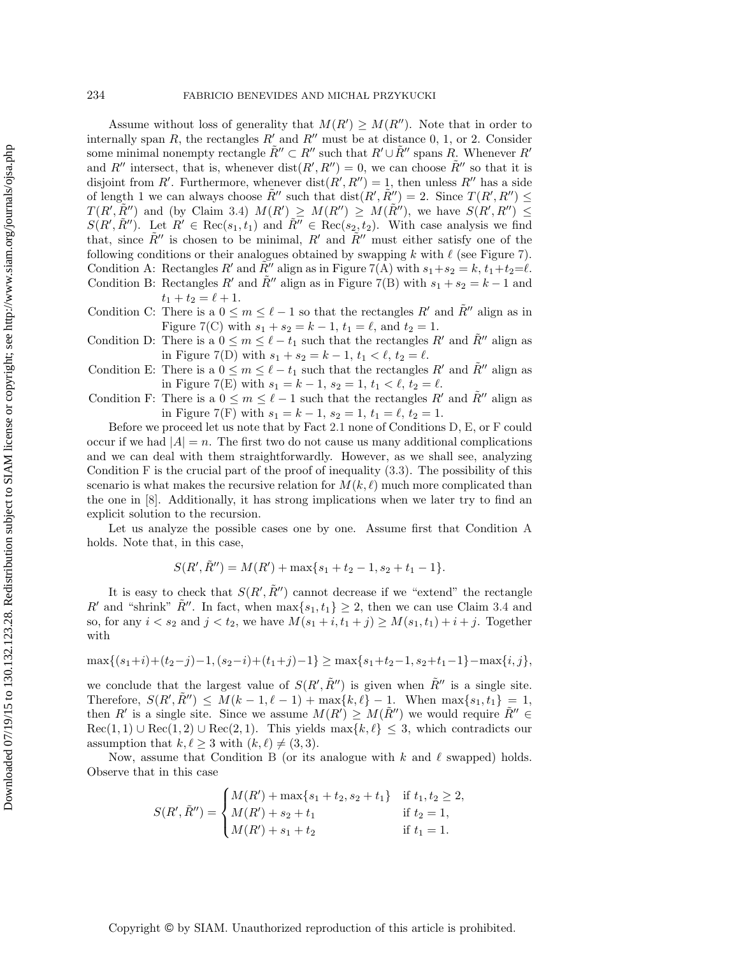Assume without loss of generality that  $M(R') \geq M(R'')$ . Note that in order to internally span R, the rectangles  $R'$  and  $R''$  must be at distance 0, 1, or 2. Consider some minimal nonempty rectangle  $\tilde{R}'' \subset R''$  such that  $R' \cup \tilde{R}''$  spans R. Whenever  $R'$ and R'' intersect, that is, whenever  $dist(R', R'') = 0$ , we can choose  $\tilde{R}''$  so that it is disjoint from R'. Furthermore, whenever  $dist(R', R'') = 1$ , then unless R'' has a side of length 1 we can always choose  $\tilde{R}''$  such that  $dist(R', \tilde{R}'') = 2$ . Since  $T(R', R'') \leq$  $T(R',\tilde{R}'')$  and (by Claim [3.4\)](#page-9-0)  $M(R') \geq M(R'') \geq M(\tilde{R}'')$ , we have  $S(R',R'') \leq$  $S(R', \tilde{R}'')$ . Let  $R' \in \text{Rec}(s_1, t_1)$  and  $\tilde{R}'' \in \text{Rec}(s_2, t_2)$ . With case analysis we find that, since  $\tilde{R}''$  is chosen to be minimal,  $R'$  and  $\tilde{R}''$  must either satisfy one of the following conditions or their analogues obtained by swapping k with  $\ell$  (see Figure [7\)](#page-11-0). Condition A: Rectangles R' and  $\tilde{R}''$  align as in Figure [7\(](#page-11-0)[A\)](#page-10-3) with  $s_1 + s_2 = k$ ,  $t_1 + t_2 = \ell$ .<br>Condition B: Rectangles  $R'$  and  $\tilde{R}''$  align as in Figure 7(B) with  $s_1 + s_2 = k$ ,  $t_1 + t_2 = \ell$ . Condition B: Rectangles R' and  $\tilde{R}$ " align as in Figure [7](#page-11-0)[\(B\)](#page-10-4) with  $s_1 + s_2 = k - 1$  and  $t_1 + t_2 = \ell + 1.$ <br>There is a 0  $\leq$ 

<span id="page-10-5"></span><span id="page-10-4"></span><span id="page-10-3"></span>Condition C: There is a  $0 \le m \le \ell - 1$  so that the rectangles R' and  $\tilde{R}$ " align as in Figure [7\(](#page-11-0)[C\)](#page-10-5) with  $s_1 + s_2 = k - 1$ ,  $t_1 = \ell$ , and  $t_2 = 1$ .<br>There is a  $0 \leq m \leq \ell$ , to such that the perturbation

- <span id="page-10-0"></span>Condition D: There is a  $0 \le m \le \ell - t_1$  such that the rectangles R' and  $\tilde{R}$ " align as in Figure [7](#page-11-0)[\(D\)](#page-10-0) with  $s_1 + s_2 = k - 1$ ,  $t_1 < \ell$ ,  $t_2 = \ell$ .<br>There is a  $0 \leq m \leq \ell$ , to such that the nector place
- <span id="page-10-1"></span>Condition E: There is a  $0 \le m \le \ell - t_1$  such that the rectangles R' and  $\tilde{R}$ " align as in Figure [7](#page-11-0)[\(E\)](#page-10-1) with  $s_1 = k - 1$ ,  $s_2 = 1$ ,  $t_1 < \ell$ ,  $t_2 = \ell$ .<br>There is a  $0 \leq m \leq \ell - 1$  such that the postangles  $R'$ .
- <span id="page-10-2"></span>Condition F: There is a  $0 \leq m \leq \ell - 1$  such that the rectangles R' and  $\tilde{R}$ " align as in Figure [7](#page-11-0)[\(F\)](#page-10-2) with  $s_1 = k - 1$ ,  $s_2 = 1$ ,  $t_1 = \ell$ ,  $t_2 = 1$ .

Before we proceed let us note that by Fact [2.1](#page-2-1) none of Conditions [D,](#page-10-0) [E,](#page-10-1) or [F](#page-10-2) could occur if we had  $|A| = n$ . The first two do not cause us many additional complications and we can deal with them straightforwardly. However, as we shall see, analyzing Condition  $F$  is the crucial part of the proof of inequality  $(3.3)$ . The possibility of this scenario is what makes the recursive relation for  $M(k, \ell)$  much more complicated than the one in [\[8\]](#page-27-16). Additionally, it has strong implications when we later try to find an explicit solution to the recursion.

Let us analyze the possible cases one by one. Assume first that Condition [A](#page-10-3) holds. Note that, in this case,

$$
S(R', \tilde{R}'') = M(R') + \max\{s_1 + t_2 - 1, s_2 + t_1 - 1\}.
$$

It is easy to check that  $S(R', \tilde{R}'')$  cannot decrease if we "extend" the rectangle R' and "shrink"  $\tilde{R}$ ". In fact, when  $\max\{s_1, t_1\} \geq 2$ , then we can use Claim [3.4](#page-9-0) and so, for any  $i < s_2$  and  $j < t_2$ , we have  $M(s_1 + i, t_1 + j) \geq M(s_1, t_1) + i + j$ . Together with

$$
\max\{(s_1+i)+(t_2-j)-1,(s_2-i)+(t_1+j)-1\}\geq \max\{s_1+t_2-1,s_2+t_1-1\}-\max\{i,j\},
$$

we conclude that the largest value of  $S(R', \tilde{R}'')$  is given when  $\tilde{R}''$  is a single site. Therefore,  $S(R', \tilde{R}'') \leq M(k-1, \ell-1) + \max\{k, \ell\} - 1$ . When  $\max\{s_1, t_1\} = 1$ , then  $R'$  is a simple site. Since we assume  $M(R') \geq M(\tilde{R}'')$  we would neguine  $\tilde{R}'' \subset R$ then R' is a single site. Since we assume  $M(R') \geq M(\tilde{R}'')$  we would require  $\tilde{R}'' \in$  $\text{Rec}(1,1) \cup \text{Rec}(1,2) \cup \text{Rec}(2,1)$ . This yields  $\max\{k,\ell\} \leq 3$ , which contradicts our assumption that  $k, \ell \geq 3$  with  $(k, \ell) \neq (3, 3)$ .

Now, assume that Condition [B](#page-10-4) (or its analogue with  $k$  and  $\ell$  swapped) holds. Observe that in this case

$$
S(R', \tilde{R}'') = \begin{cases} M(R') + \max\{s_1 + t_2, s_2 + t_1\} & \text{if } t_1, t_2 \ge 2, \\ M(R') + s_2 + t_1 & \text{if } t_2 = 1, \\ M(R') + s_1 + t_2 & \text{if } t_1 = 1. \end{cases}
$$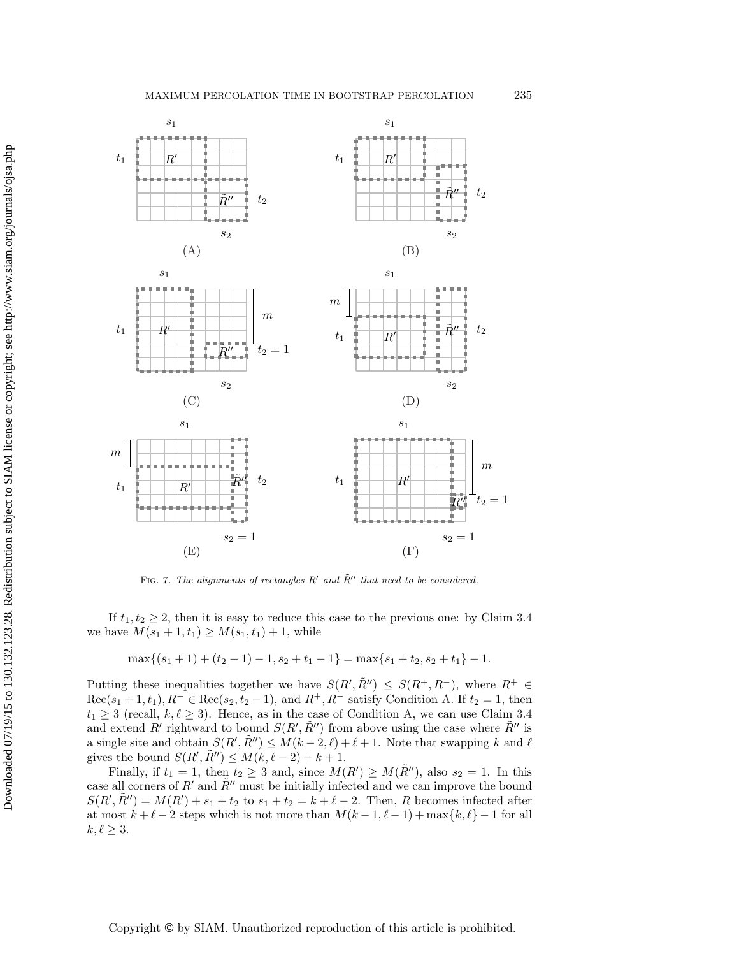

<span id="page-11-0"></span>FIG. 7. The alignments of rectangles  $R'$  and  $\tilde{R}''$  that need to be considered.

Downloaded 07/19/15 to 130.132.123.28. Redistribution subject to SIAM license or copyright; see http://www.siam.org/journals/ojsa.php Downloaded 07/19/15 to 130.132.123.28. Redistribution subject to SIAM license or copyright; see http://www.siam.org/journals/ojsa.php

If  $t_1, t_2 \geq 2$ , then it is easy to reduce this case to the previous one: by Claim [3.4](#page-9-0) we have  $M(s_1 + 1, t_1) \geq M(s_1, t_1) + 1$ , while

$$
\max\{(s_1+1)+(t_2-1)-1,s_2+t_1-1\}=\max\{s_1+t_2,s_2+t_1\}-1.
$$

Putting these inequalities together we have  $S(R', \tilde{R}'') \leq S(R^+, R^-)$ , where  $R^+ \in$  $\text{Rec}(s_1 + 1, t_1), R^- \in \text{Rec}(s_2, t_2 - 1)$ , and  $R^+, R^-$  satisfy Condition [A.](#page-10-3) If  $t_2 = 1$ , then  $t_1 \geq 3$  (recall,  $k, \ell \geq 3$ ). Hence, as in the case of Condition [A,](#page-10-3) we can use Claim [3.4](#page-9-0) and extend R' rightward to bound  $S(R', \tilde{R}'')$  from above using the case where  $\tilde{R}''$  is a single site and obtain  $S(R', \tilde{R}'') \leq M(k-2, \ell) + \ell + 1$ . Note that swapping k and  $\ell$ gives the bound  $S(R', \tilde{R}'') \leq M(k, \ell - 2) + k + 1$ .

Finally, if  $t_1 = 1$ , then  $t_2 \geq 3$  and, since  $M(R') \geq M(\tilde{R}'')$ , also  $s_2 = 1$ . In this case all corners of  $R'$  and  $\tilde{R}''$  must be initially infected and we can improve the bound  $S(R', \tilde{R}'') = M(R') + s_1 + t_2$  to  $s_1 + t_2 = k + \ell - 2$ . Then, R becomes infected after at most  $k + \ell - 2$  steps which is not more than  $M(k-1, \ell-1) + \max\{k, \ell\} - 1$  for all  $k, \ell \geq 3$ .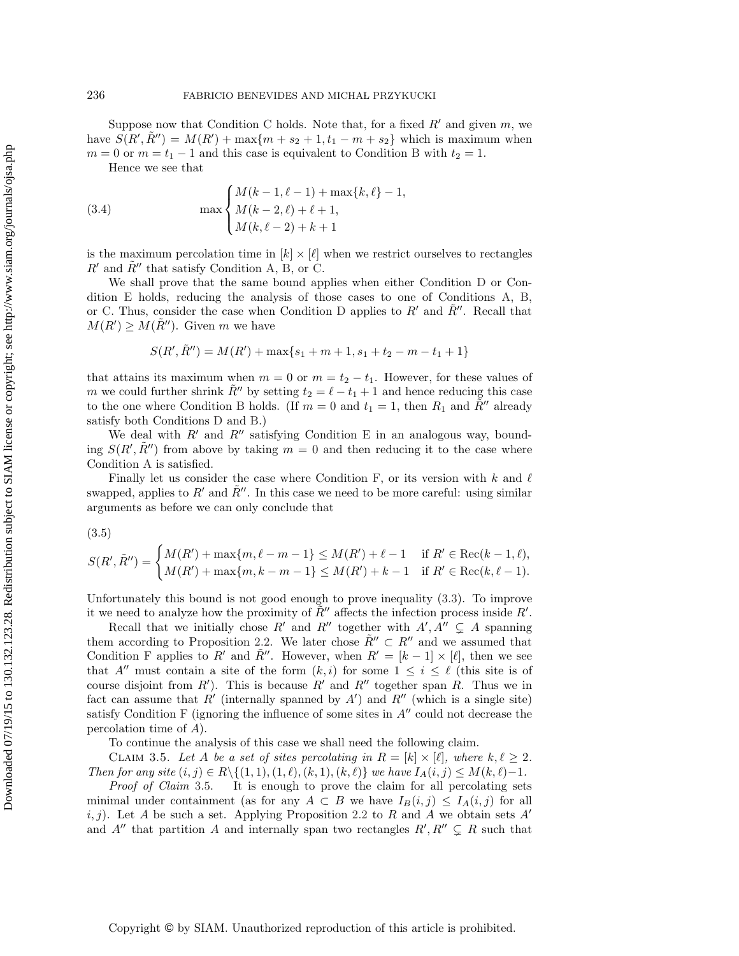Suppose now that [C](#page-10-5)ondition C holds. Note that, for a fixed  $R'$  and given  $m$ , we have  $S(R', \tilde{R}'') = M(R') + \max\{m + s_2 + 1, t_1 - m + s_2\}$  which is maximum when  $m = 0$  or  $m = t_1 - 1$  and this case is equivalent to Condition [B](#page-10-4) with  $t_2 = 1$ .

<span id="page-12-2"></span>Hence we see that

(3.4) 
$$
\max \begin{cases} M(k-1, \ell-1) + \max\{k, \ell\} - 1, \\ M(k-2, \ell) + \ell + 1, \\ M(k, \ell-2) + k + 1 \end{cases}
$$

is the maximum percolation time in  $[k] \times [\ell]$  when we restrict ourselves to rectangles  $R'$  and  $\tilde{R}''$  that satisfy Condition [A,](#page-10-3) [B,](#page-10-4) or [C.](#page-10-5)

We shall prove that the same bound applies when either Condition [D](#page-10-0) or Condition [E](#page-10-1) holds, reducing the analysis of those cases to one of Conditions [A,](#page-10-3) [B,](#page-10-4) or [C.](#page-10-5) Thus, consider the case when Condition [D](#page-10-0) applies to  $R'$  and  $R''$ . Recall that  $M(R') \geq M(\tilde{R}'')$ . Given m we have

$$
S(R', \tilde{R}'') = M(R') + \max\{s_1 + m + 1, s_1 + t_2 - m - t_1 + 1\}
$$

that attains its maximum when  $m = 0$  or  $m = t_2 - t_1$ . However, for these values of m we could further shrink  $\tilde{R}''$  by setting  $t_2 = \ell - t_1 + 1$  and hence reducing this case to the one where Condition [B](#page-10-4) holds. (If  $m = 0$  and  $t_1 = 1$ , then  $R_1$  and  $\tilde{R}''$  already satisfy both Conditions [D](#page-10-0) and [B.](#page-10-4))

We deal with  $R'$  and  $R''$  satisfying Condition [E](#page-10-1) in an analogous way, bounding  $S(R', \tilde{R}'')$  from above by taking  $m = 0$  and then reducing it to the case where Condition [A](#page-10-3) is satisfied.

Finally let us consider the case where Condition [F,](#page-10-2) or its version with  $k$  and  $\ell$ swapped, applies to R' and  $\tilde{R}$ ". In this case we need to be more careful: using similar arguments as before we can only conclude that

<span id="page-12-1"></span>(3.5)

$$
S(R', \tilde{R}'') = \begin{cases} M(R') + \max\{m, \ell - m - 1\} \le M(R') + \ell - 1 & \text{if } R' \in \text{Rec}(k - 1, \ell), \\ M(R') + \max\{m, k - m - 1\} \le M(R') + k - 1 & \text{if } R' \in \text{Rec}(k, \ell - 1). \end{cases}
$$

Unfortunately this bound is not good enough to prove inequality [\(3.3\)](#page-9-1). To improve it we need to analyze how the proximity of  $\tilde{R}$ <sup>"</sup> affects the infection process inside R'.

Recall that we initially chose R' and R'' together with  $A', A'' \subsetneq A$  spanning them according to Proposition [2.2.](#page-3-0) We later chose  $\tilde{R}'' \subset R''$  and we assumed that Condition [F](#page-10-2) applies to R' and  $\tilde{R}''$ . However, when  $R' = [k-1] \times [\ell]$ , then we see that A'' must contain a site of the form  $(k, i)$  for some  $1 \leq i \leq \ell$  (this site is of course disjoint from  $R'$ ). This is because  $R'$  and  $R''$  together span  $R$ . Thus we in fact can assume that  $R'$  (internally spanned by  $A'$ ) and  $R''$  (which is a single site) satisfy Condition [F](#page-10-2) (ignoring the influence of some sites in  $A''$  could not decrease the percolation time of A).

To continue the analysis of this case we shall need the following claim.

<span id="page-12-0"></span>CLAIM 3.5. Let A be a set of sites percolating in  $R = [k] \times [\ell]$ , where  $k, \ell \geq 2$ . *Then for any site*  $(i, j) \in R \setminus \{(1, 1), (1, \ell), (k, 1), (k, \ell)\}\$  *we have*  $I_A(i, j) \leq M(k, \ell) - 1$ *.* 

*Proof of Claim* [3.5.](#page-12-0) It is enough to prove the claim for all percolating sets minimal under containment (as for any  $A \subset B$  we have  $I_B(i,j) \leq I_A(i,j)$  for all i, j). Let A be such a set. Applying Proposition [2.2](#page-3-0) to R and A we obtain sets A' and A'' that partition A and internally span two rectangles  $R', R'' \subsetneq R$  such that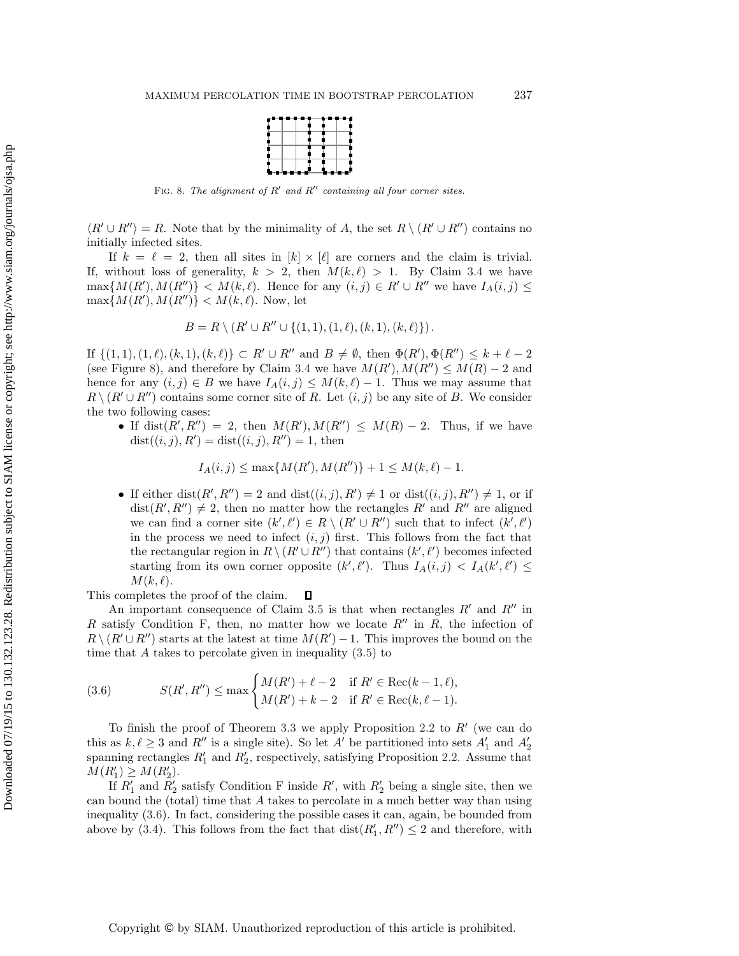|      |  | ---- |
|------|--|------|
|      |  |      |
|      |  |      |
|      |  |      |
|      |  |      |
|      |  |      |
|      |  |      |
|      |  |      |
| ---- |  |      |

<span id="page-13-0"></span>FIG. 8. The alignment of  $R'$  and  $R''$  containing all four corner sites.

 $\langle R' \cup R'' \rangle = R$ . Note that by the minimality of A, the set  $R \setminus (R' \cup R'')$  contains no initially infected sites.

If  $k = \ell = 2$ , then all sites in  $[k] \times [\ell]$  are corners and the claim is trivial. If, without loss of generality,  $k > 2$ , then  $M(k, \ell) > 1$ . By Claim [3.4](#page-9-0) we have  $\max\{M(R'),M(R'')\}$  <  $M(k,\ell)$ . Hence for any  $(i,j) \in R' \cup R''$  we have  $I_A(i,j) \leq$  $\max\{M(R'),M(R'')\} < M(k,\ell)$ . Now, let

$$
B = R \setminus (R' \cup R'' \cup \{(1,1), (1,\ell), (k,1), (k,\ell)\}).
$$

If  $\{(1,1), (1,\ell), (k,1), (k,\ell)\}\subset R'\cup R''$  and  $B\neq \emptyset$ , then  $\Phi(R'), \Phi(R'')\leq k+\ell-2$ (see Figure [8\)](#page-13-0), and therefore by Claim [3.4](#page-9-0) we have  $M(R')$ ,  $M(R'') \leq M(R) - 2$  and hence for any  $(i, j) \in B$  we have  $I_A(i, j) \leq M(k, \ell) - 1$ . Thus we may assume that  $R \setminus (R' \cup R'')$  contains some corner site of R. Let  $(i, j)$  be any site of B. We consider the two following cases:

• If dist $(R', R'') = 2$ , then  $M(R'), M(R'') \leq M(R) - 2$ . Thus, if we have  $dist((i, j), R') = dist((i, j), R'') = 1$ , then

<span id="page-13-1"></span>
$$
I_A(i,j) \le \max\{M(R'), M(R'')\} + 1 \le M(k,\ell) - 1.
$$

• If either dist $(R', R'') = 2$  and dist $((i, j), R') \neq 1$  or dist $((i, j), R'') \neq 1$ , or if  $dist(R', R'') \neq 2$ , then no matter how the rectangles R' and R'' are aligned we can find a corner site  $(k', \ell') \in R \setminus (R' \cup R'')$  such that to infect  $(k', \ell')$ in the process we need to infect  $(i, j)$  first. This follows from the fact that the rectangular region in  $R \setminus (R' \cup R'')$  that contains  $(k', \ell')$  becomes infected starting from its own corner opposite  $(k', \ell')$ . Thus  $I_A(i, j) < I_A(k', \ell') \leq$  $M(k,\ell).$ 

This completes the proof of the claim.  $\Box$ 

An important consequence of Claim [3.5](#page-12-0) is that when rectangles  $R'$  and  $R''$  in R satisfy Condition [F,](#page-10-2) then, no matter how we locate  $R''$  in R, the infection of  $R \setminus (R' \cup R'')$  starts at the latest at time  $M(R') - 1$ . This improves the bound on the time that  $A$  takes to percolate given in inequality  $(3.5)$  to

(3.6) 
$$
S(R', R'') \le \max \begin{cases} M(R') + \ell - 2 & \text{if } R' \in \text{Rec}(k - 1, \ell), \\ M(R') + k - 2 & \text{if } R' \in \text{Rec}(k, \ell - 1). \end{cases}
$$

To finish the proof of Theorem [3.3](#page-7-0) we apply Proposition [2.2](#page-3-0) to  $R'$  (we can do this as  $k, \ell \geq 3$  and  $R''$  is a single site). So let  $A'$  be partitioned into sets  $A'_1$  and  $A'_2$ <br>spanning rectangles  $R'$  and  $R'$  respectively satisfying Proposition 2.2. Assume that spanning rectangles  $R'_1$  and  $R'_2$ , respectively, satisfying Proposition [2.2.](#page-3-0) Assume that  $M(R') > M(R')$  $M(R'_1) \geq M(R'_2).$ <br>If  $R'$  and  $R'$ 

If  $R'_1$  and  $R'_2$  satisfy Condition [F](#page-10-2) inside R', with  $R'_2$  being a single site, then we<br>bound the (total) time that A takes to percelate in a much better way than using can bound the (total) time that A takes to percolate in a much better way than using inequality [\(3.6\)](#page-13-1). In fact, considering the possible cases it can, again, be bounded from above by [\(3.4\)](#page-12-2). This follows from the fact that  $dist(R'_1, R'') \leq 2$  and therefore, with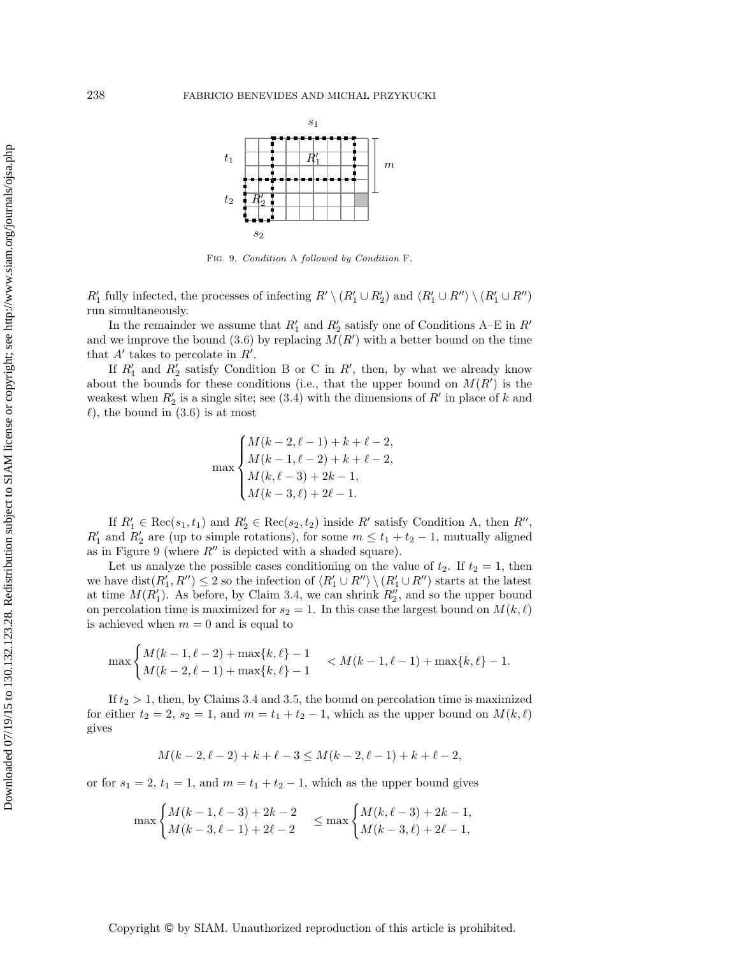

<span id="page-14-0"></span>Fig. 9. Condition [A](#page-10-3) followed by Condition [F](#page-10-2).

 $R'_1$  fully infected, the processes of infecting  $R' \setminus (R'_1 \cup R'_2)$  and  $\langle R'_1 \cup R'' \rangle \setminus (R'_1 \cup R'')$ <br>run simultaneously run simultaneously.

In the remainder we assume that  $R'_1$  and  $R'_2$  satisfy one of Conditions [A](#page-10-3)[–E](#page-10-1) in  $R'$ <br>we improve the bound  $(3,6)$  by replacing  $M(R')$  with a better bound on the time and we improve the bound [\(3.6\)](#page-13-1) by replacing  $M(R')$  with a better bound on the time that  $A'$  takes to percolate in  $R'$ .

If  $R'_1$  and  $R'_2$  satisfy Condition [B](#page-10-4) or [C](#page-10-5) in R', then, by what we already know<br>it the bounds for these conditions (i.e., that the upper bound on  $M(R')$  is the about the bounds for these conditions (i.e., that the upper bound on  $M(R')$  is the weakest when  $R'_2$  is a single site; see [\(3.4\)](#page-12-2) with the dimensions of R' in place of k and  $\ell$ ) the bound in (3.6) is at most  $\ell$ , the bound in  $(3.6)$  is at most

$$
\max \begin{cases} M(k-2,\ell-1)+k+\ell-2,\\ M(k-1,\ell-2)+k+\ell-2,\\ M(k,\ell-3)+2k-1,\\ M(k-3,\ell)+2\ell-1.\end{cases}
$$

If  $R'_1 \in \text{Rec}(s_1, t_1)$  and  $R'_2 \in \text{Rec}(s_2, t_2)$  inside R' satisfy Condition [A,](#page-10-3) then  $R''$ ,<br>and  $R'_1$  are (up to simple retations) for some  $m \leq t_1 + t_2 = 1$  mutually aligned  $R'_1$  and  $R'_2$  are (up to simple rotations), for some  $m \le t_1 + t_2 - 1$ , mutually aligned as in Figure [9](#page-14-0) (where  $R''$  is depicted with a shaded square).

Let us analyze the possible cases conditioning on the value of  $t_2$ . If  $t_2 = 1$ , then we have  $dist(R'_1, R'') \leq 2$  so the infection of  $\langle R'_1 \cup R'' \rangle \setminus (R'_1 \cup R'')$  starts at the latest<br>at time  $M(R')$ , As before, by Claim 3.4, we can shrink  $R''$ , and so the upper bound at time  $M(R'_1)$ . As before, by Claim [3.4,](#page-9-0) we can shrink  $R''_2$ , and so the upper bound<br>on percelation time is maximized for  $\varepsilon_2 = 1$ . In this case the largest bound on  $M(k, \ell)$ on percolation time is maximized for  $s_2 = 1$ . In this case the largest bound on  $M(k, \ell)$ is achieved when  $m = 0$  and is equal to

$$
\max\begin{cases} M(k-1,\ell-2)+\max\{k,\ell\}-1\\ M(k-2,\ell-1)+\max\{k,\ell\}-1 \end{cases} < M(k-1,\ell-1)+\max\{k,\ell\}-1.
$$

If  $t_2 > 1$ , then, by Claims [3.4](#page-9-0) and [3.5,](#page-12-0) the bound on percolation time is maximized for either  $t_2 = 2$ ,  $s_2 = 1$ , and  $m = t_1 + t_2 - 1$ , which as the upper bound on  $M(k, \ell)$ gives

$$
M(k-2, \ell-2) + k + \ell - 3 \le M(k-2, \ell-1) + k + \ell - 2,
$$

or for  $s_1 = 2$ ,  $t_1 = 1$ , and  $m = t_1 + t_2 - 1$ , which as the upper bound gives

$$
\max\begin{cases} M(k-1,\ell-3)+2k-2 \\ M(k-3,\ell-1)+2\ell-2 \end{cases} \le \max\begin{cases} M(k,\ell-3)+2k-1, \\ M(k-3,\ell)+2\ell-1, \end{cases}
$$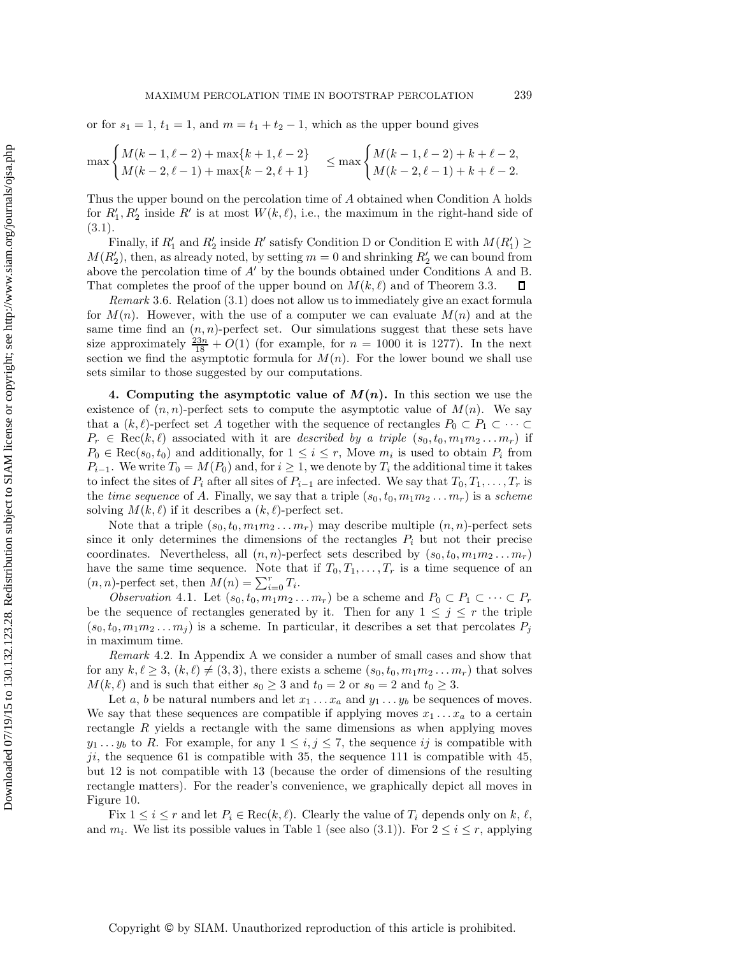## MAXIMUM PERCOLATION TIME IN BOOTSTRAP PERCOLATION 239

or for  $s_1 = 1$ ,  $t_1 = 1$ , and  $m = t_1 + t_2 - 1$ , which as the upper bound gives

$$
\max\begin{cases} M(k-1,\ell-2) + \max\{k+1,\ell-2\} \\ M(k-2,\ell-1) + \max\{k-2,\ell+1\} \end{cases} \le \max\begin{cases} M(k-1,\ell-2) + k + \ell - 2, \\ M(k-2,\ell-1) + k + \ell - 2. \end{cases}
$$

Thus the upper bound on the percolation time of A obtained when Condition [A](#page-10-3) holds for  $R'_1, R'_2$  inside  $R'$  is at most  $W(k, \ell)$ , i.e., the maximum in the right-hand side of  $(3.1).$  $(3.1).$ 

Finally, if  $R'_1$  and  $R'_2$  inside R' satisfy Condition [D](#page-10-0) or Condition [E](#page-10-1) with  $M(R'_1) \ge R'$  then as already noted by setting  $m = 0$  and shripting  $R'$  we can be under some  $M(R'_2)$ , then, as already noted, by setting  $m = 0$  and shrinking  $R'_2$  we can bound from above the percolation time of  $A'$  $A'$  by the bounds obtained under Conditions A and [B.](#page-10-4) That completes the proof of the upper bound on  $M(k, \ell)$  and of Theorem [3.3.](#page-7-0) □

*Remark* 3.6. Relation [\(3.1\)](#page-7-2) does not allow us to immediately give an exact formula for  $M(n)$ . However, with the use of a computer we can evaluate  $M(n)$  and at the same time find an  $(n, n)$ -perfect set. Our simulations suggest that these sets have size approximately  $\frac{23n}{18} + O(1)$  (for example, for  $n = 1000$  it is 1277). In the next<br>section we find the asymptotic formula for  $M(n)$ . For the lower bound we shall use section we find the asymptotic formula for  $M(n)$ . For the lower bound we shall use sets similar to those suggested by our computations.

<span id="page-15-0"></span>**4. Computing the asymptotic value of**  $M(n)$ **.** In this section we use the existence of  $(n, n)$ -perfect sets to compute the asymptotic value of  $M(n)$ . We say that a  $(k, \ell)$ -perfect set A together with the sequence of rectangles  $P_0 \subset P_1 \subset \cdots \subset P_n \subset \text{Rec}(k, \ell)$  expressioned with it are described by a triple  $(e, t, m, m, \ldots, m)$  if  $P_r \in \text{Rec}(k, \ell)$  associated with it are *described by a triple*  $(s_0, t_0, m_1 m_2 ... m_r)$  if  $P_0 \in \text{Rec}(s_0, t_0)$  and additionally, for  $1 \leq i \leq r$ , Move  $m_i$  is used to obtain  $P_i$  from<br> $P_i$  We write  $T_i = M(P_i)$  and for  $i > 1$  we denote by  $T_i$  the additional time it takes  $P_{i-1}$ . We write  $T_0 = M(P_0)$  and, for  $i \geq 1$ , we denote by  $T_i$  the additional time it takes to infect the sites of  $P_i$  after all sites of  $P_{i-1}$  are infected. We say that  $T_0, T_1, \ldots, T_r$  is the *time sequence* of A. Finally, we say that a triple  $(s_0, t_0, m_1m_2 \ldots m_r)$  is a *scheme* solving  $M(k, \ell)$  if it describes a  $(k, \ell)$ -perfect set.

Note that a triple  $(s_0, t_0, m_1m_2 \ldots m_r)$  may describe multiple  $(n, n)$ -perfect sets since it only determines the dimensions of the rectangles  $P_i$  but not their precise coordinates. Nevertheless, all  $(n, n)$ -perfect sets described by  $(s_0, t_0, m_1m_2...m_r)$ have the same time sequence. Note that if  $T_0, T_1, \ldots, T_r$  is a time sequence of an  $(n, n)$ -perfect set, then  $M(n) = \sum_{i=0}^{r} T_i$ .<br>Observation 4.1. Let (se to manne

<span id="page-15-2"></span>*Observation* 4.1. Let  $(s_0, t_0, m_1m_2 \ldots m_r)$  be a scheme and  $P_0 \subset P_1 \subset \cdots \subset P_r$ be the sequence of rectangles generated by it. Then for any  $1 \leq j \leq r$  the triple  $(s_0, t_0, m_1 m_2 \ldots m_i)$  is a scheme. In particular, it describes a set that percolates  $P_i$ in maximum time.

<span id="page-15-1"></span>*Remark* 4.2. In Appendix [A](#page-26-0) we consider a number of small cases and show that for any  $k, \ell \geq 3$ ,  $(k, \ell) \neq (3, 3)$ , there exists a scheme  $(s_0, t_0, m_1m_2...m_r)$  that solves  $M(k, \ell)$  and is such that either  $s_0 \geq 3$  and  $t_0 = 2$  or  $s_0 = 2$  and  $t_0 \geq 3$ .

Let a, b be natural numbers and let  $x_1 \ldots x_a$  and  $y_1 \ldots y_b$  be sequences of moves. We say that these sequences are compatible if applying moves  $x_1 \ldots x_a$  to a certain rectangle R yields a rectangle with the same dimensions as when applying moves  $y_1 \ldots y_b$  to R. For example, for any  $1 \le i, j \le 7$ , the sequence ij is compatible with  $45$ ji, the sequence 61 is compatible with 35, the sequence 111 is compatible with 45, but 12 is not compatible with 13 (because the order of dimensions of the resulting rectangle matters). For the reader's convenience, we graphically depict all moves in Figure [10.](#page-16-0)

Fix  $1 \leq i \leq r$  and let  $P_i \in \text{Rec}(k, \ell)$ . Clearly the value of  $T_i$  depends only on k,  $\ell$ , and  $m_i$ . We list its possible values in Table [1](#page-16-1) (see also [\(3.1\)](#page-7-2)). For  $2 \le i \le r$ , applying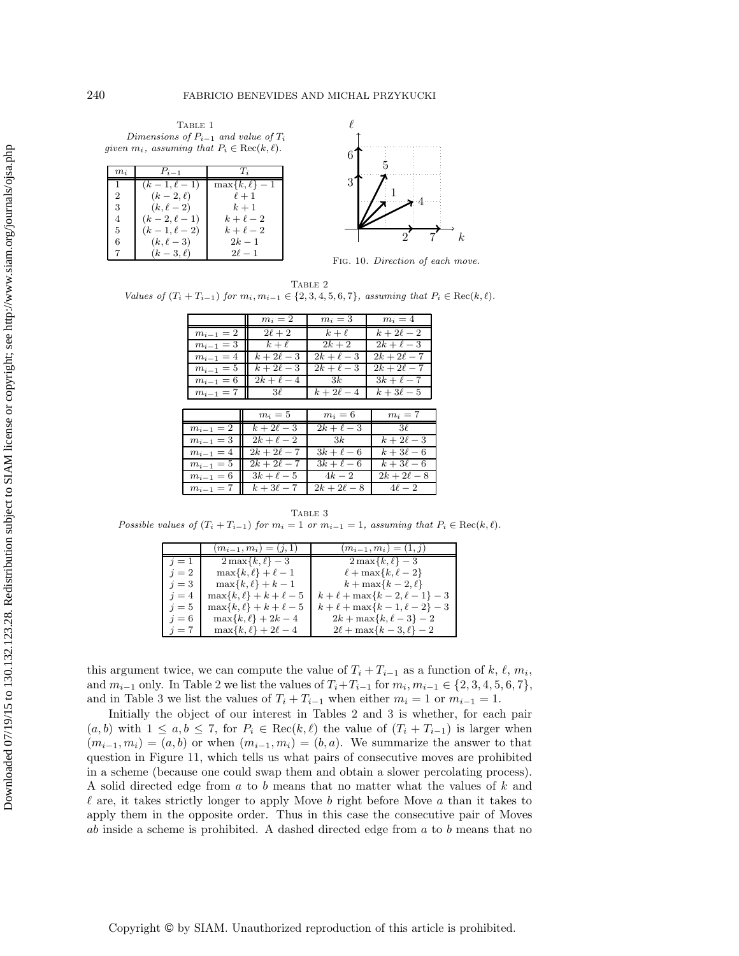<span id="page-16-1"></span>TABLE 1 Dimensions of P*i*−<sup>1</sup> and value of T*<sup>i</sup>* given  $m_i$ , assuming that  $P_i \in \text{Rec}(k, \ell)$ .

| $m_i$ | $P_{i-1}$       | $T_{\tilde{a}}$    |
|-------|-----------------|--------------------|
|       | $(k-1, \ell-1)$ | $\max\{k,\ell\}-1$ |
| 2     | $(k-2,\ell)$    | $\ell+1$           |
| 3     | $(k, \ell - 2)$ | $k+1$              |
| 4     | $(k-2, \ell-1)$ | $k+\ell-2$         |
| 5     | $(k-1, \ell-2)$ | $k+\ell-2$         |
| 6     | $(k, \ell-3)$   | $2k-1$             |
|       | $(k-3, \ell)$   | $2\ell - 1$        |



<span id="page-16-0"></span>FIG. 10. Direction of each move.

<span id="page-16-2"></span>TABLE 2 *Values of*  $(T_i + T_{i-1})$  *for*  $m_i, m_{i-1} \in \{2, 3, 4, 5, 6, 7\}$ *, assuming that*  $P_i \in \text{Rec}(k, \ell)$ *.* 

|               | $m_i=2$          | $m_i=3$     | $m_i=4$          |  |
|---------------|------------------|-------------|------------------|--|
| $m_{i-1}=2$   | $2\ell+2$        | $k+\ell$    | $k+2\ell-2$      |  |
| $m_{i-1} = 3$ | $k+\ell$         | $2k+2$      | $2k+\ell-3$      |  |
| $m_{i-1} = 4$ | $k+2\ell-3$      | $2k+\ell-3$ | $2k + 2\ell - 7$ |  |
| $m_{i-1} = 5$ | $k+2\ell-3$      | $2k+\ell-3$ | $2k + 2\ell - 7$ |  |
| $m_{i-1}=6$   | $2k+\ell-4$      | 3k          | $3k+\ell-7$      |  |
| $m_{i-1} = 7$ | $3\ell$          | $k+2\ell-4$ | $k+3\ell-5$      |  |
|               |                  |             |                  |  |
|               | $m_i=5$          | $m_i=6$     | $m_i=7$          |  |
| $m_{i-1}=2$   | $k+2\ell-3$      | $2k+\ell-3$ | $3\ell$          |  |
| $m_{i-1}=3$   | $2k+\ell-2$      | 3k          | $k+2\ell-3$      |  |
| $m_{i-1} = 4$ | $2k + 2\ell - 7$ | $3k+\ell-6$ | $k+3\ell-6$      |  |
|               |                  |             |                  |  |
| $m_{i-1}=5$   | $2k + 2\ell - 7$ | $3k+\ell-6$ | $k+3\ell-6$      |  |
| $m_{i-1}=6$   | $3k+\ell-5$      | $4k-2$      | $2k + 2\ell - 8$ |  |

<span id="page-16-3"></span>Table 3 Possible values of  $(T_i + T_{i-1})$  for  $m_i = 1$  or  $m_{i-1} = 1$ , assuming that  $P_i \in \text{Rec}(k, \ell)$ .

|       | $(m_{i-1}, m_i) = (j, 1)$  | $(m_{i-1}, m_i) = (1, j)$                |
|-------|----------------------------|------------------------------------------|
| $i=1$ | $2\max\{k,\ell\}$ – 3      | $2\max\{k,\ell\} - 3$                    |
| $i=2$ | $\max\{k,\ell\}+\ell-1$    | $\ell + \max\{k, \ell - 2\}$             |
| $i=3$ | $\max\{k,\ell\}+k-1$       | $k+\max\{k-2,\ell\}$                     |
| $i=4$ | $\max\{k,\ell\}+k+\ell-5$  | $k + \ell + \max\{k-2, \ell-1\} - 3$     |
| $i=5$ | $\max\{k,\ell\}+k+\ell-5$  | $k + \ell + \max\{k - 1, \ell - 2\} - 3$ |
| $i=6$ | $\max\{k, \ell\} + 2k - 4$ | $2k + \max\{k, \ell - 3\} - 2$           |
| $j=7$ | $\max\{k,\ell\}+2\ell-4$   | $2\ell + \max\{k-3, \ell\} - 2$          |

this argument twice, we can compute the value of  $T_i + T_{i-1}$  as a function of k,  $\ell$ ,  $m_i$ , and  $m_i$ , can be a function of  $T_i + T_i$ , for  $m_i$ ,  $m_i \in \{9, 2, 4, 5, 6, 7\}$ and  $m_{i-1}$  only. In Table [2](#page-16-2) we list the values of  $T_i+T_{i-1}$  for  $m_i, m_{i-1} \in \{2, 3, 4, 5, 6, 7\}$ , and in Table [3](#page-16-3) we list the values of  $T_i + T_{i-1}$  when either  $m_i = 1$  or  $m_{i-1} = 1$ .

Initially the object of our interest in Tables [2](#page-16-2) and [3](#page-16-3) is whether, for each pair  $(a, b)$  with  $1 \le a, b \le 7$ , for  $P_i \in \text{Rec}(k, \ell)$  the value of  $(T_i + T_{i-1})$  is larger when  $(m_{i-1}, m_i)=(a, b)$  or when  $(m_{i-1}, m_i)=(b, a)$ . We summarize the answer to that question in Figure [11,](#page-17-0) which tells us what pairs of consecutive moves are prohibited in a scheme (because one could swap them and obtain a slower percolating process). A solid directed edge from a to b means that no matter what the values of k and  $\ell$  are, it takes strictly longer to apply Move  $b$  right before Move  $a$  than it takes to apply them in the opposite order. Thus in this case the consecutive pair of Moves  $ab$  inside a scheme is prohibited. A dashed directed edge from  $a$  to  $b$  means that no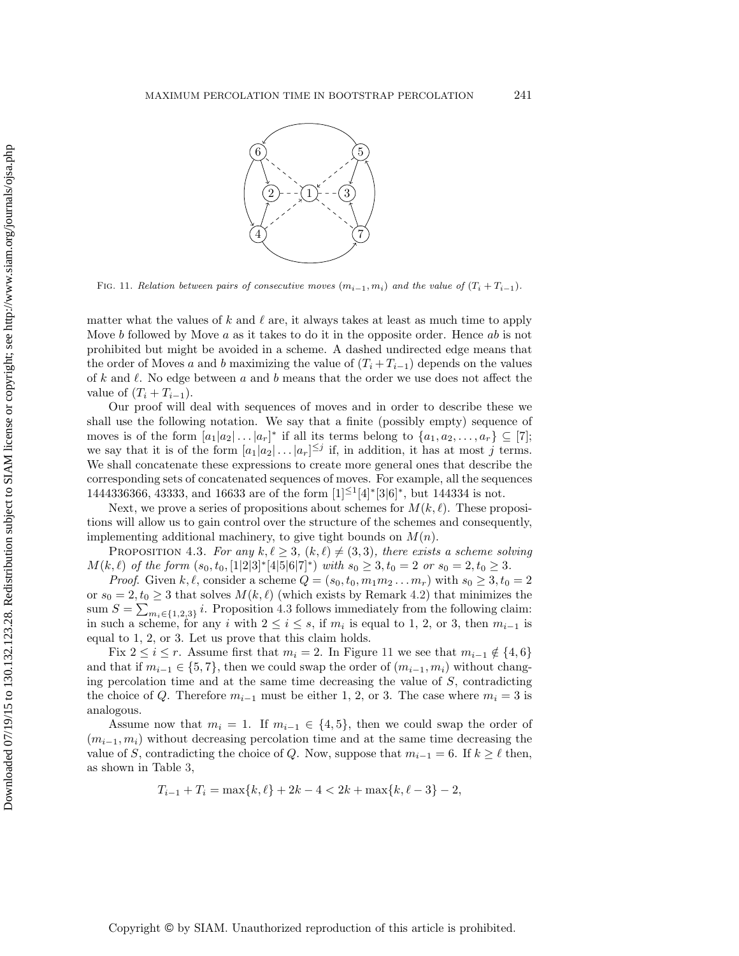

<span id="page-17-0"></span>FIG. 11. Relation between pairs of consecutive moves  $(m_{i-1}, m_i)$  and the value of  $(T_i + T_{i-1})$ .

matter what the values of k and  $\ell$  are, it always takes at least as much time to apply Move b followed by Move a as it takes to do it in the opposite order. Hence ab is not prohibited but might be avoided in a scheme. A dashed undirected edge means that the order of Moves a and b maximizing the value of  $(T_i + T_{i-1})$  depends on the values of k and  $\ell$ . No edge between a and b means that the order we use does not affect the value of  $(T_i + T_{i-1})$ .

Our proof will deal with sequences of moves and in order to describe these we shall use the following notation. We say that a finite (possibly empty) sequence of moves is of the form  $[a_1|a_2| \dots |a_r]^*$  if all its terms belong to  $\{a_1, a_2, \dots, a_r\} \subseteq [7]$ ; we say that it is of the form  $[a_1|a_2|\dots|a_r]^{\leq j}$  if, in addition, it has at most j terms. We shall concatenate these expressions to create more general ones that describe the corresponding sets of concatenated sequences of moves. For example, all the sequences 1444336366, 43333, and 16633 are of the form [1]<sup>≤</sup>1[4]<sup>∗</sup>[3|6]<sup>∗</sup>, but 144334 is not.

Next, we prove a series of propositions about schemes for  $M(k, \ell)$ . These propositions will allow us to gain control over the structure of the schemes and consequently, implementing additional machinery, to give tight bounds on  $M(n)$ .

<span id="page-17-1"></span>PROPOSITION 4.3. For any  $k, \ell \geq 3$ ,  $(k, \ell) \neq (3, 3)$ , there exists a scheme solving  $M(k, \ell)$  of the form  $(s_0, t_0, [1|2|3]^{*}[4|5|6|7]^{*})$  *with*  $s_0 \geq 3, t_0 = 2$  or  $s_0 = 2, t_0 \geq 3$ .<br>Pasef Given  $k, \ell$  expedience as appear  $\Omega$  of the spannel matrix  $s \geq 3$ .

*Proof.* Given  $k, \ell$ , consider a scheme  $Q = (s_0, t_0, m_1m_2...m_r)$  with  $s_0 \geq 3, t_0 = 2$ <br> $-2, t > 3$  that solves  $M(k, \ell)$  (which oviets by Personal 4.2) that minimizes the or  $s_0 = 2, t_0 \geq 3$  that solves  $M(k, \ell)$  (which exists by Remark [4.2\)](#page-15-1) that minimizes the sum  $S = \sum_{m_i \in \{1,2,3\}} i$ . Proposition [4.3](#page-17-1) follows immediately from the following claim: in such a scheme, for any i with  $2 \le i \le s$ , if  $m_i$  is equal to 1, 2, or 3, then  $m_{i-1}$  is equal to 1, 2, or 3. Let us prove that this claim holds.

Fix  $2 \leq i \leq r$ . Assume first that  $m_i = 2$ . In Figure [11](#page-17-0) we see that  $m_{i-1} \notin \{4, 6\}$ and that if  $m_{i-1} \in \{5, 7\}$ , then we could swap the order of  $(m_{i-1}, m_i)$  without changing percolation time and at the same time decreasing the value of  $S$ , contradicting the choice of Q. Therefore  $m_{i-1}$  must be either 1, 2, or 3. The case where  $m_i = 3$  is analogous.

Assume now that  $m_i = 1$ . If  $m_{i-1} \in \{4, 5\}$ , then we could swap the order of  $(m_{i-1}, m_i)$  without decreasing percolation time and at the same time decreasing the value of S, contradicting the choice of Q. Now, suppose that  $m_{i-1} = 6$ . If  $k \ge \ell$  then, as shown in Table [3,](#page-16-3)

$$
T_{i-1} + T_i = \max\{k, \ell\} + 2k - 4 < 2k + \max\{k, \ell - 3\} - 2,
$$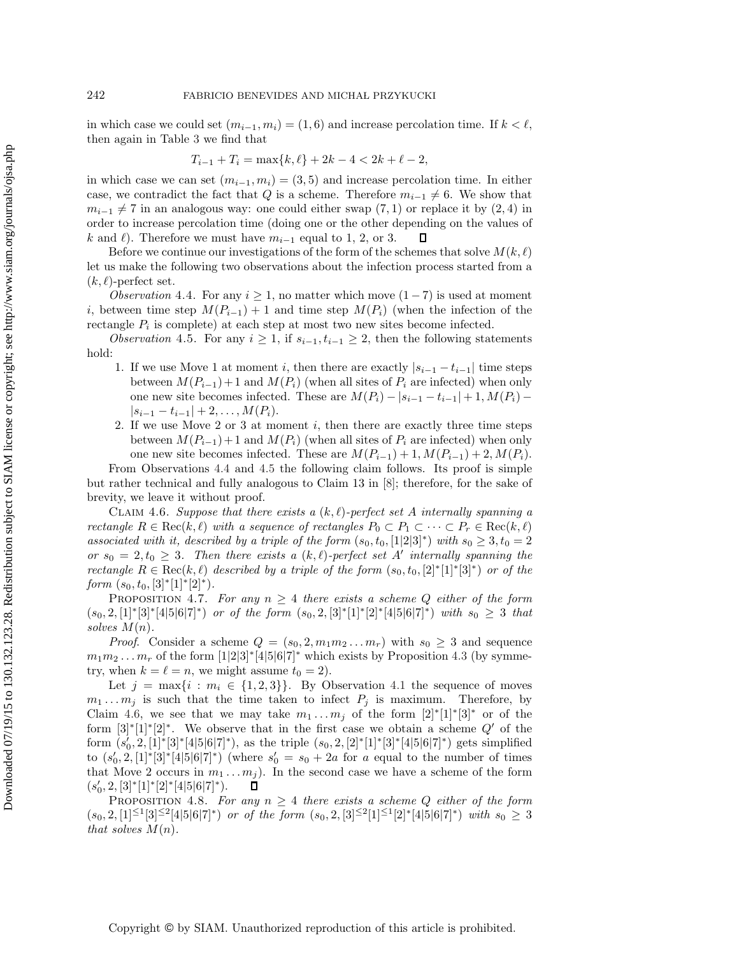in which case we could set  $(m_{i-1}, m_i) = (1, 6)$  and increase percolation time. If  $k < \ell$ , then again in Table [3](#page-16-3) we find that

<span id="page-18-1"></span>
$$
T_{i-1} + T_i = \max\{k, \ell\} + 2k - 4 < 2k + \ell - 2,
$$

in which case we can set  $(m_{i-1}, m_i) = (3, 5)$  and increase percolation time. In either case, we contradict the fact that Q is a scheme. Therefore  $m_{i-1} \neq 6$ . We show that  $m_{i-1} \neq 7$  in an analogous way: one could either swap (7, 1) or replace it by (2, 4) in order to increase percolation time (doing one or the other depending on the values of k and  $\ell$ ). Therefore we must have  $m_{i-1}$  equal to 1, 2, or 3.<br>Perfore we continue our investigations of the form of the  $\Box$ 

Before we continue our investigations of the form of the schemes that solve  $M(k, \ell)$ let us make the following two observations about the infection process started from a  $(k, \ell)$ -perfect set.

<span id="page-18-0"></span>*Observation* 4.4. For any  $i \geq 1$ , no matter which move  $(1 - 7)$  is used at moment i, between time step  $M(P_{i-1}) + 1$  and time step  $M(P_i)$  (when the infection of the rectangle  $P_i$  is complete) at each step at most two new sites become infected.

*Observation* 4.5. For any  $i \geq 1$ , if  $s_{i-1}, t_{i-1} \geq 2$ , then the following statements hold:

- 1. If we use Move 1 at moment i, then there are exactly  $|s_{i-1} t_{i-1}|$  time steps between  $M(P_{i-1})+1$  and  $M(P_i)$  (when all sites of  $P_i$  are infected) when only one new site becomes infected. These are  $M(P_i) - |s_{i-1} - t_{i-1}| + 1, M(P_i) |s_{i-1} - t_{i-1}| + 2, \ldots, M(P_i).$
- 2. If we use Move 2 or 3 at moment i, then there are exactly three time steps between  $M(P_{i-1})+1$  and  $M(P_i)$  (when all sites of  $P_i$  are infected) when only one new site becomes infected. These are  $M(P_{i-1})+1$ ,  $M(P_{i-1})+2$ ,  $M(P_i)$ .

From Observations [4.4](#page-18-0) and [4.5](#page-18-1) the following claim follows. Its proof is simple but rather technical and fully analogous to Claim 13 in [\[8\]](#page-27-16); therefore, for the sake of brevity, we leave it without proof.

<span id="page-18-2"></span>CLAIM 4.6. Suppose that there exists a  $(k, \ell)$ -perfect set A internally spanning a *rectangle*  $R \in \text{Rec}(k, \ell)$  *with a sequence of rectangles*  $P_0 \subset P_1 \subset \cdots \subset P_r \in \text{Rec}(k, \ell)$ *associated with it, described by a triple of the form*  $(s_0, t_0, [1|2|3]^*)$  *with*  $s_0 \geq 3, t_0 = 2$ *or*  $s_0 = 2, t_0 \geq 3$ . Then there exists a  $(k, \ell)$ -perfect set A' internally spanning the *rectangle*  $R \in \text{Rec}(k, \ell)$  *described by a triple of the form*  $(s_0, t_0, [2]^*[1]^*[3]^*)$  *or of the form*  $(s_0, t_0, [3]^*[1]^*[2]^*)$ *.* 

<span id="page-18-3"></span>PROPOSITION 4.7. For any  $n \geq 4$  there exists a scheme Q either of the form  $(s_0, 2, 1]$ <sup>∗</sup>[3]\*[4|5|6|7]<sup>∗</sup>) *or of the form*  $(s_0, 2, 3]$ \*[1]\*[2]\*[4|5|6|7]\*) *with*  $s_0 \geq 3$  *that solves* M(n)*.*

*Proof.* Consider a scheme  $Q = (s_0, 2, m_1m_2...m_r)$  with  $s_0 \geq 3$  and sequence  $m_1m_2...m_r$  of the form  $[1|2|3]^*[4|5|6|7]^*$  which exists by Proposition [4.3](#page-17-1) (by symmetry when  $h = \ell = n$ , we might assume  $t = 2$ ) try, when  $k = \ell = n$ , we might assume  $t_0 = 2$ ).

Let  $j = \max\{i : m_i \in \{1, 2, 3\}\}.$  By Observation [4.1](#page-15-2) the sequence of moves  $m_1 \ldots m_j$  is such that the time taken to infect  $P_j$  is maximum. Therefore, by Claim [4.6,](#page-18-2) we see that we may take  $m_1 \dots m_j$  of the form  $[2]^*[1]^*[3]^*$  or of the form  $[3]^*[1]^*[2]^*$ . We observe that in the first case we obtain a scheme Q' of the form  $(s_0, 2, [1]^* [3]^* [4|5|6|7]^*)$ , as the triple  $(s_0, 2, [2]^* [1]^* [3]^* [4|5|6|7]^*)$  gets simplified<br>to  $(s_0, 2, [1]^* [3]^* [4|5|6|7]^*)$  (where  $s_0' = s_0 + 2s$  for a squal to the number of times to  $(s'_0, 2, [1]^* [3]^* [4]5]6[7]^*)$  (where  $s'_0 = s_0 + 2a$  for a equal to the number of times that Mayo 2 geours in m. m.). In the second associate have a scheme of the form that Move 2 occurs in  $m_1 \dots m_j$ ). In the second case we have a scheme of the form  $(s'_0, 2, [3]^*[1]^*[2]^*[4]5[6]7]^*$ .  $(s'_0, 2, [3]^*[1]^*[2]^*[4|5|6|7]^*).$ <br>PROBOSITION 4.8

<span id="page-18-4"></span>**PROPOSITION** 4.8. For any  $n \geq 4$  there exists a scheme Q either of the form  $(s_0, 2, [1] \leq 1$ [3]≤2[4|5|6|7]<sup>∗</sup>) *or of the form*  $(s_0, 2, [3] \leq 2$ [1]≤1[2]<sup>∗</sup>[4|5|6|7]<sup>∗</sup>) *with*  $s_0 \geq 3$ *that solves*  $M(n)$ *.*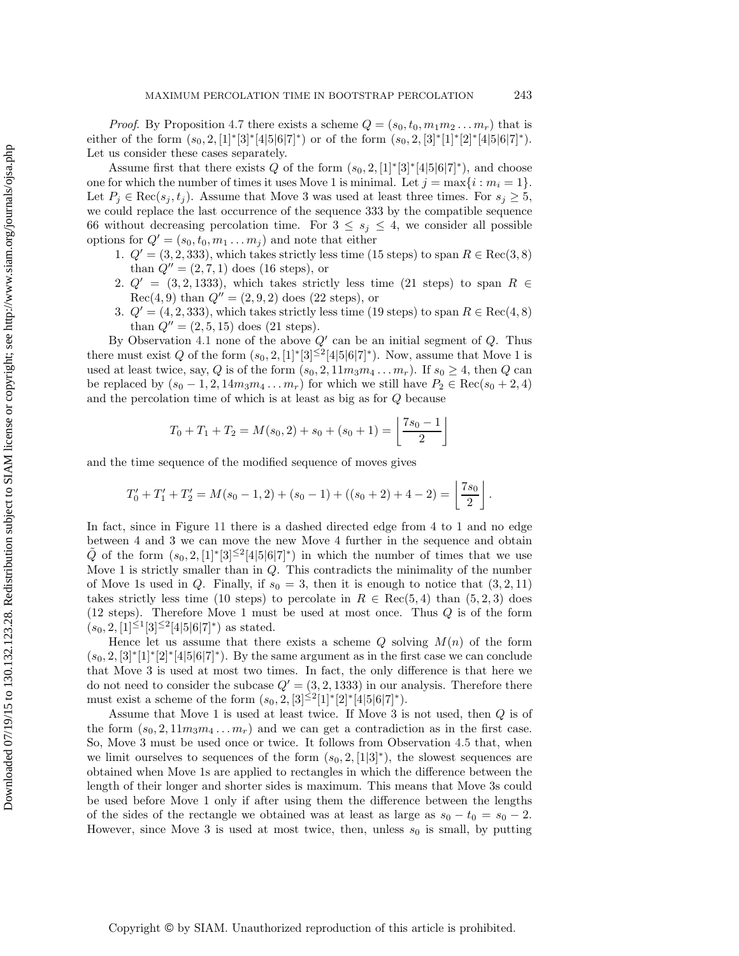*Proof.* By Proposition [4.7](#page-18-3) there exists a scheme  $Q = (s_0, t_0, m_1m_2 \ldots m_r)$  that is either of the form  $(s_0, 2, [1]^* [3]^* [4]5|6|7]^*)$  or of the form  $(s_0, 2, [3]^* [1]^* [2]^* [4]5|6|7]^*)$ . Let us consider these cases separately.

Assume first that there exists Q of the form  $(s_0, 2, [1]^*[3]^*[4^*5]6]7)$ <sup>\*</sup>), and choose one for which the number of times it uses Move 1 is minimal. Let  $j = \max\{i : m_i = 1\}$ . Let  $P_i \in \text{Rec}(s_i, t_i)$ . Assume that Move 3 was used at least three times. For  $s_i \geq 5$ , we could replace the last occurrence of the sequence 333 by the compatible sequence 66 without decreasing percolation time. For  $3 \leq s_j \leq 4$ , we consider all possible options for  $Q' = (s_0, t_0, m_1 \dots m_j)$  and note that either

- 1.  $Q' = (3, 2, 333)$ , which takes strictly less time (15 steps) to span  $R \in \text{Rec}(3, 8)$ than  $Q'' = (2, 7, 1)$  does (16 steps), or
- 2.  $Q' = (3, 2, 1333)$ , which takes strictly less time (21 steps) to span R  $\in$  $Rec(4, 9)$  than  $Q'' = (2, 9, 2)$  does  $(22 \text{ steps})$ , or
- 3.  $Q' = (4, 2, 333)$ , which takes strictly less time (19 steps) to span  $R \in \text{Rec}(4, 8)$ than  $Q'' = (2, 5, 15)$  does  $(21 \text{ steps})$ .

By Observation [4.1](#page-15-2) none of the above  $Q'$  can be an initial segment of  $Q$ . Thus there must exist Q of the form  $(s_0, 2, [1]^*[3]^{\leq 2}[4|5|6|7]^*)$ . Now, assume that Move 1 is used at least twice, say, Q is of the form  $(s_0, 2, 11m_3m_4 \ldots m_r)$ . If  $s_0 \geq 4$ , then Q can be replaced by  $(s_0 - 1, 2, 14m_3m_4 \ldots m_r)$  for which we still have  $P_2 \in \text{Rec}(s_0 + 2, 4)$ and the percolation time of which is at least as big as for Q because

$$
T_0 + T_1 + T_2 = M(s_0, 2) + s_0 + (s_0 + 1) = \left\lfloor \frac{7s_0 - 1}{2} \right\rfloor
$$

and the time sequence of the modified sequence of moves gives

$$
T'_0 + T'_1 + T'_2 = M(s_0 - 1, 2) + (s_0 - 1) + ((s_0 + 2) + 4 - 2) = \left\lfloor \frac{7s_0}{2} \right\rfloor.
$$

In fact, since in Figure [11](#page-17-0) there is a dashed directed edge from 4 to 1 and no edge between 4 and 3 we can move the new Move 4 further in the sequence and obtain  $\tilde{Q}$  of the form  $(s_0, 2, [1]^*[3]^{\leq 2}[4]5[6]7)^*$  in which the number of times that we use Move 1 is strictly smaller than in Q. This contradicts the minimality of the number of Move 1s used in Q. Finally, if  $s_0 = 3$ , then it is enough to notice that  $(3, 2, 11)$ takes strictly less time (10 steps) to percolate in  $R \in \text{Rec}(5, 4)$  than  $(5, 2, 3)$  does  $(12 \text{ steps})$ . Therefore Move 1 must be used at most once. Thus  $Q$  is of the form  $(s_0, 2, \lceil 1 \rceil \leq 1 \lceil 3 \rceil \leq 2 \lceil 4 \lceil 5 \rceil \cdot 6 \rceil \cdot 7 \rceil^* )$  as stated.

Hence let us assume that there exists a scheme  $Q$  solving  $M(n)$  of the form  $(s_0, 2, 3]^*[1]^*[2]^*[4]5[6]7]^*$ . By the same argument as in the first case we can conclude that Move 3 is used at most two times. In fact, the only difference is that here we do not need to consider the subcase  $Q' = (3, 2, 1333)$  in our analysis. Therefore there must exist a scheme of the form  $(s_0, 2, [3]^{\leq 2}[1]^*[2]^*[4|5|6|7]^*).$ 

Assume that Move 1 is used at least twice. If Move 3 is not used, then Q is of the form  $(s_0, 2, 11m_3m_4 \ldots m_r)$  and we can get a contradiction as in the first case. So, Move 3 must be used once or twice. It follows from Observation [4.5](#page-18-1) that, when we limit ourselves to sequences of the form  $(s_0, 2, \lceil 1 \rceil 3 \rceil^*)$ , the slowest sequences are obtained when Move 1s are applied to rectangles in which the difference between the length of their longer and shorter sides is maximum. This means that Move 3s could be used before Move 1 only if after using them the difference between the lengths of the sides of the rectangle we obtained was at least as large as  $s_0 - t_0 = s_0 - 2$ . However, since Move 3 is used at most twice, then, unless  $s_0$  is small, by putting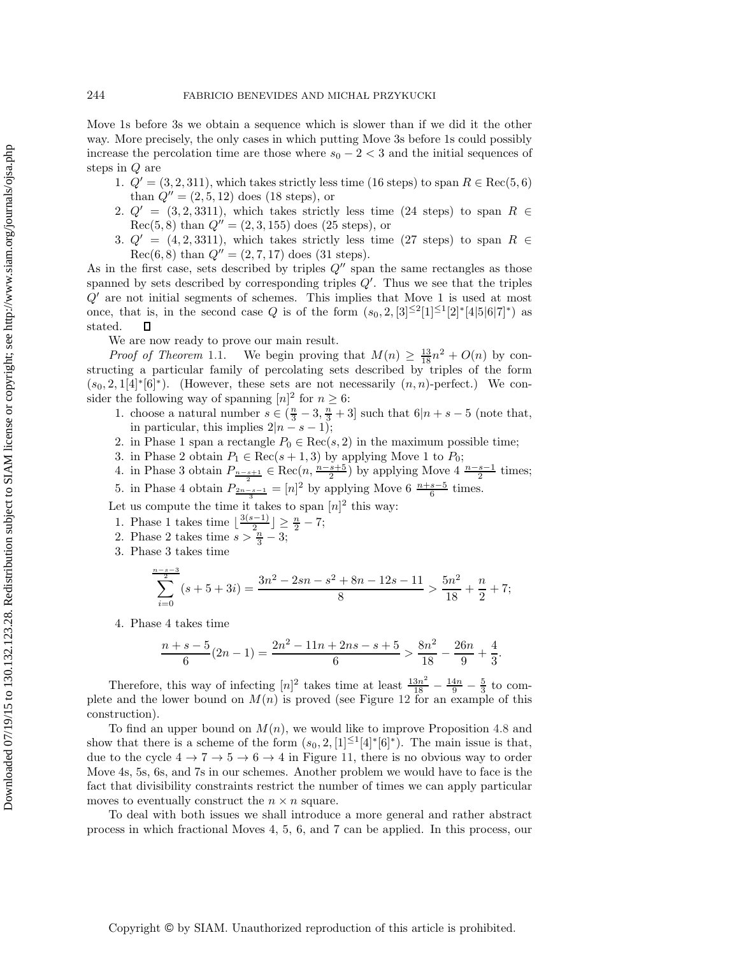Move 1s before 3s we obtain a sequence which is slower than if we did it the other way. More precisely, the only cases in which putting Move 3s before 1s could possibly increase the percolation time are those where  $s_0 - 2 < 3$  and the initial sequences of steps in Q are

- 1.  $Q' = (3, 2, 311)$ , which takes strictly less time (16 steps) to span  $R \in \text{Rec}(5, 6)$ than  $Q'' = (2, 5, 12)$  does (18 steps), or
- 2.  $Q' = (3, 2, 3311)$ , which takes strictly less time (24 steps) to span R  $\in$  $Rec(5, 8)$  than  $Q'' = (2, 3, 155)$  does (25 steps), or
- 3.  $Q' = (4, 2, 3311)$ , which takes strictly less time (27 steps) to span  $R \in$  $Rec(6, 8)$  than  $Q'' = (2, 7, 17)$  does (31 steps).

As in the first case, sets described by triples  $Q''$  span the same rectangles as those spanned by sets described by corresponding triples  $Q'$ . Thus we see that the triples  $Q'$  are not initial segments of schemes. This implies that Move 1 is used at most once, that is, in the second case Q is of the form  $(s_0, 2, [3]^{\leq 2}[1]^{\leq 1}[2]^*[4|5|6|7]^*)$  as stated. □ stated.

We are now ready to prove our main result.

*Proof of Theorem* [1.1.](#page-1-0) We begin proving that  $M(n) \geq \frac{13}{18}n^2 + O(n)$  by con-<br>cting a particular family of percolating sets described by triples of the form structing a particular family of percolating sets described by triples of the form  $(s_0, 2, 1[4]^*|6]^*)$ . (However, these sets are not necessarily  $(n, n)$ -perfect.) We consider the following way of spanning  $[n]^2$  for  $n \geq 6$ :

- 1. choose a natural number  $s \in (\frac{n}{3} 3, \frac{n}{3} + 3]$  such that  $6|n + s 5$  (note that, in particular this implies  $2|n s 1|$ ). in particular, this implies  $2|n - s - 1$ ;
- 2. in Phase 1 span a rectangle  $P_0 \in \text{Rec}(s, 2)$  in the maximum possible time;
- 
- 3. in Phase 2 obtain  $P_1 \text{ ∈ } \text{Rec}(s+1,3)$  by applying Move 1 to  $P_0$ ;<br>4. in Phase 3 obtain  $P_{n-s+1} \text{ ∈ } \text{Rec}(n, \frac{n-s+5}{2})$  by applying Move 4  $\frac{n-s-1}{2}$  times;
- 5. in Phase 4 obtain  $P_{\frac{2n-s-1}{3}} = [n]^2$  by applying Move 6  $\frac{n+s-5}{6}$  times.

Let us compute the time it takes to span  $[n]^2$  this way:

- 1. Phase 1 takes time  $\lfloor \frac{3(s-1)}{2} \rfloor \geq \frac{n}{2} 7$ ;<br>2. Phase 2 takes time  $s > \frac{n}{3} 3$ ;<br>3. Phase 3 takes time
- 

3. Phase 3 takes time

$$
\sum_{i=0}^{\frac{n-s-3}{2}} (s+5+3i) = \frac{3n^2 - 2sn - s^2 + 8n - 12s - 11}{8} > \frac{5n^2}{18} + \frac{n}{2} + 7;
$$

4. Phase 4 takes time

$$
\frac{n+s-5}{6}(2n-1) = \frac{2n^2 - 11n + 2ns - s + 5}{6} > \frac{8n^2}{18} - \frac{26n}{9} + \frac{4}{3}.
$$

Therefore, this way of infecting  $[n]^2$  takes time at least  $\frac{13n^2}{18} - \frac{14n}{9} - \frac{5}{3}$  to com-<br>a and the lower bound on  $M(n)$  is proved (see Figure 12 for an example of this plete and the lower bound on  $M(n)$  is proved (see Figure [12](#page-21-0) for an example of this construction).

To find an upper bound on  $M(n)$ , we would like to improve Proposition [4.8](#page-18-4) and show that there is a scheme of the form  $(s_0, 2, [1]^{\leq 1}[4]^*[6]^*)$ . The main issue is that, due to the cycle  $4 \rightarrow 7 \rightarrow 5 \rightarrow 6 \rightarrow 4$  in Figure [11,](#page-17-0) there is no obvious way to order Move 4s, 5s, 6s, and 7s in our schemes. Another problem we would have to face is the fact that divisibility constraints restrict the number of times we can apply particular moves to eventually construct the  $n \times n$  square.

To deal with both issues we shall introduce a more general and rather abstract process in which fractional Moves 4, 5, 6, and 7 can be applied. In this process, our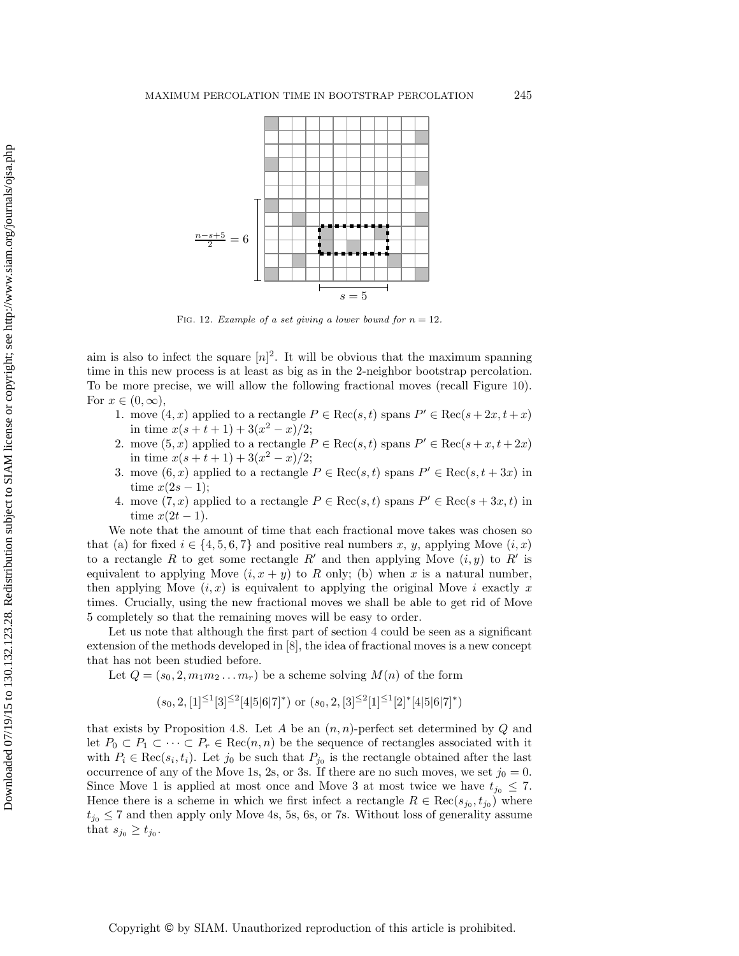

<span id="page-21-0"></span>FIG. 12. Example of a set giving a lower bound for  $n = 12$ .

aim is also to infect the square  $[n]^2$ . It will be obvious that the maximum spanning time in this new process is at least as big as in the 2-neighbor bootstrap percolation. To be more precise, we will allow the following fractional moves (recall Figure [10\)](#page-16-0). For  $x \in (0, \infty)$ ,

- 1. move  $(4, x)$  applied to a rectangle  $P \in \text{Rec}(s, t)$  spans  $P' \in \text{Rec}(s + 2x, t + x)$ in time  $x(s + t + 1) + 3(x^2 - x)/2$ ;
- 2. move  $(5, x)$  applied to a rectangle  $P \in \text{Rec}(s, t)$  spans  $P' \in \text{Rec}(s + x, t + 2x)$ in time  $x(s + t + 1) + 3(x^2 - x)/2$ ;
- 3. move  $(6, x)$  applied to a rectangle  $P \in \text{Rec}(s, t)$  spans  $P' \in \text{Rec}(s, t + 3x)$  in time  $x(2s-1)$ :
- 4. move  $(7, x)$  applied to a rectangle  $P \in \text{Rec}(s, t)$  spans  $P' \in \text{Rec}(s + 3x, t)$  in time  $x(2t-1)$ .

We note that the amount of time that each fractional move takes was chosen so that (a) for fixed  $i \in \{4, 5, 6, 7\}$  and positive real numbers x, y, applying Move  $(i, x)$ to a rectangle R to get some rectangle R' and then applying Move  $(i, y)$  to R' is equivalent to applying Move  $(i, x + y)$  to R only; (b) when x is a natural number, then applying Move  $(i, x)$  is equivalent to applying the original Move i exactly x times. Crucially, using the new fractional moves we shall be able to get rid of Move 5 completely so that the remaining moves will be easy to order.

Let us note that although the first part of section [4](#page-15-0) could be seen as a significant extension of the methods developed in [\[8\]](#page-27-16), the idea of fractional moves is a new concept that has not been studied before.

Let  $Q = (s_0, 2, m_1m_2 \ldots m_r)$  be a scheme solving  $M(n)$  of the form

$$
(s_0, 2, [1]^{\leq 1}[3]^{\leq 2}[4|5|6|7]^*)
$$
 or  $(s_0, 2, [3]^{\leq 2}[1]^{\leq 1}[2]^*[4|5|6|7]^*)$ 

that exists by Proposition [4.8.](#page-18-4) Let A be an  $(n, n)$ -perfect set determined by Q and let  $P_0 \subset P_1 \subset \cdots \subset P_r \in \text{Rec}(n, n)$  be the sequence of rectangles associated with it with  $P_i \in \text{Rec}(s_i, t_i)$ . Let  $j_0$  be such that  $P_{j_0}$  is the rectangle obtained after the last occurrence of any of the Move 1s, 2s, or 3s. If there are no such moves, we set  $j_0 = 0$ . Since Move 1 is applied at most once and Move 3 at most twice we have  $t_{j_0} \leq 7$ . Hence there is a scheme in which we first infect a rectangle  $R \in \text{Rec}(s_{j_0}, t_{j_0})$  where  $t_{j_0} \leq 7$  and then apply only Move 4s, 5s, 6s, or 7s. Without loss of generality assume that  $s_{j_0} \geq t_{j_0}$ .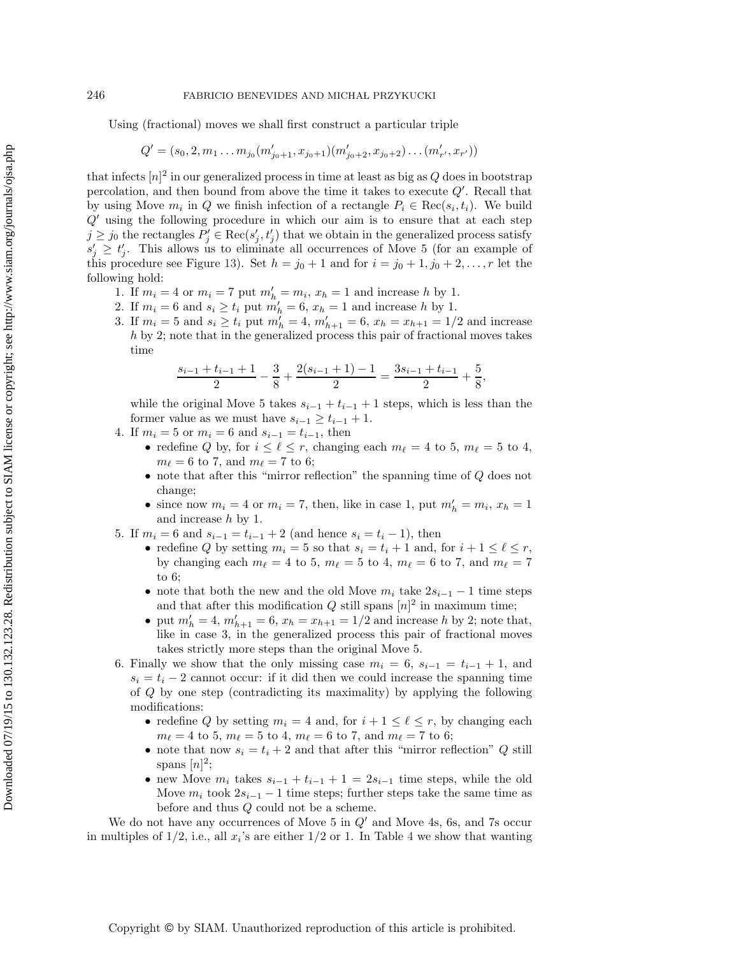Using (fractional) moves we shall first construct a particular triple

$$
Q' = (s_0, 2, m_1 \dots m_{j_0}(m'_{j_0+1}, x_{j_0+1})(m'_{j_0+2}, x_{j_0+2})\dots (m'_{r'}, x_{r'}))
$$

that infects  $[n]^2$  in our generalized process in time at least as big as  $Q$  does in bootstrap percolation, and then bound from above the time it takes to execute Q . Recall that by using Move  $m_i$  in Q we finish infection of a rectangle  $P_i \in \text{Rec}(s_i, t_i)$ . We build  $Q'$  using the following procedure in which our aim is to ensure that at each step  $j \geq j_0$  the rectangles  $P'_j \in \text{Rec}(s'_j, t'_j)$  that we obtain in the generalized process satisfy  $s'_i \geq t'_i$ . This allows us to eliminate all occurrences of Move 5 (for an example of this procedure see Figure [13\)](#page-23-0). Set  $h = j_0 + 1$  and for  $i = j_0 + 1, j_0 + 2, \ldots, r$  let the following hold:

- 1. If  $m_i = 4$  or  $m_i = 7$  put  $m'_h = m_i$ ,  $x_h = 1$  and increase h by 1.
- 2. If  $m_i = 6$  and  $s_i \ge t_i$  put  $m'_h = 6$ ,  $x_h = 1$  and increase h by 1.
- 3. If  $m_i = 5$  and  $s_i \ge t_i$  put  $m'_h = 4$ ,  $m'_{h+1} = 6$ ,  $x_h = x_{h+1} = 1/2$  and increase h by 2; note that in the generalized process this pair of fractional moves takes time

$$
\frac{s_{i-1}+t_{i-1}+1}{2}-\frac{3}{8}+\frac{2(s_{i-1}+1)-1}{2}=\frac{3s_{i-1}+t_{i-1}}{2}+\frac{5}{8},
$$

while the original Move 5 takes  $s_{i-1} + t_{i-1} + 1$  steps, which is less than the former value as we must have  $s_{i-1} \geq t_{i-1} + 1$ .

- 4. If  $m_i = 5$  or  $m_i = 6$  and  $s_{i-1} = t_{i-1}$ , then
	- redefine Q by, for  $i \leq \ell \leq r$ , changing each  $m_{\ell} = 4$  to 5,  $m_{\ell} = 5$  to 4,  $m_{\ell} = 6$  to 7, and  $m_{\ell} = 7$  to 6;
	- note that after this "mirror reflection" the spanning time of Q does not change;
	- since now  $m_i = 4$  or  $m_i = 7$ , then, like in case 1, put  $m'_h = m_i$ ,  $x_h = 1$ and increase h by 1.
- 5. If  $m_i = 6$  and  $s_{i-1} = t_{i-1} + 2$  (and hence  $s_i = t_i 1$ ), then
	- redefine Q by setting  $m_i = 5$  so that  $s_i = t_i + 1$  and, for  $i + 1 \leq \ell \leq r$ , by changing each  $m_{\ell} = 4$  to 5,  $m_{\ell} = 5$  to 4,  $m_{\ell} = 6$  to 7, and  $m_{\ell} = 7$ to 6;
	- note that both the new and the old Move  $m_i$  take  $2s_{i-1} 1$  time steps and that after this modification  $Q$  still spans  $[n]^2$  in maximum time;
	- put  $m'_h = 4$ ,  $m'_{h+1} = 6$ ,  $x_h = x_{h+1} = 1/2$  and increase h by 2; note that, like in case 3, in the generalized process this pair of fractional moves takes strictly more steps than the original Move 5.
- 6. Finally we show that the only missing case  $m_i = 6$ ,  $s_{i-1} = t_{i-1} + 1$ , and  $s_i = t_i - 2$  cannot occur: if it did then we could increase the spanning time of Q by one step (contradicting its maximality) by applying the following modifications:
	- redefine Q by setting  $m_i = 4$  and, for  $i + 1 \leq \ell \leq r$ , by changing each  $m_{\ell} = 4$  to 5,  $m_{\ell} = 5$  to 4,  $m_{\ell} = 6$  to 7, and  $m_{\ell} = 7$  to 6;
	- note that now  $s_i = t_i + 2$  and that after this "mirror reflection" Q still spans  $[n]^2$ ;
	- new Move  $m_i$  takes  $s_{i-1} + t_{i-1} + 1 = 2s_{i-1}$  time steps, while the old Move  $m_i$  took  $2s_{i-1} - 1$  time steps; further steps take the same time as before and thus Q could not be a scheme.

We do not have any occurrences of Move 5 in  $Q'$  and Move 4s, 6s, and 7s occur in multiples of 1/2, i.e., all  $x_i$ 's are either 1/2 or 1. In Table [4](#page-23-1) we show that wanting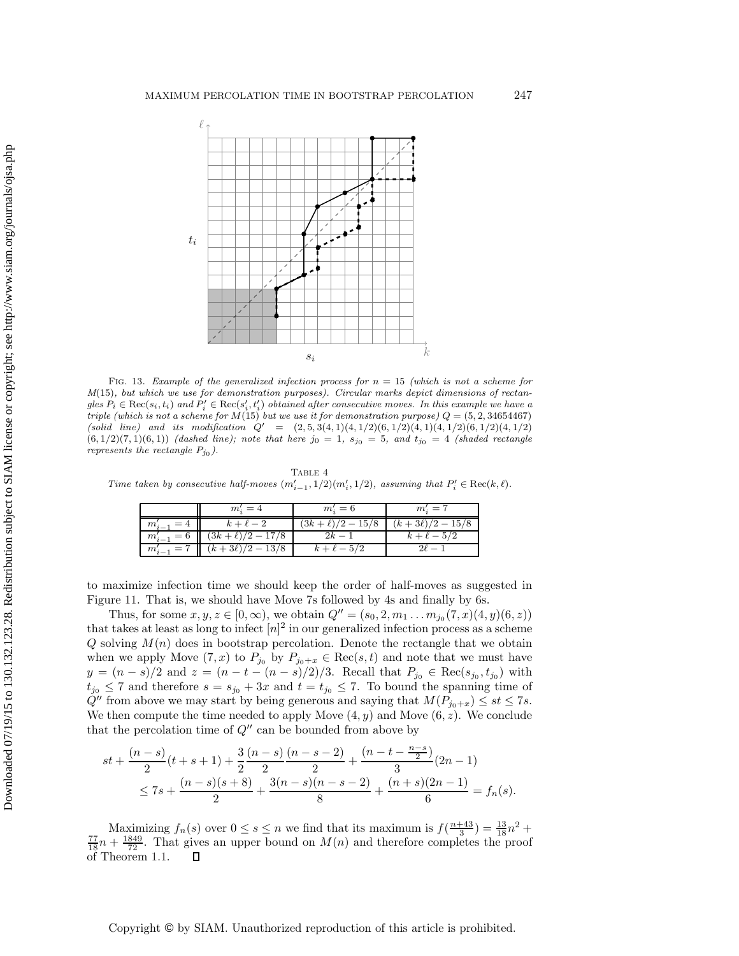

<span id="page-23-0"></span>FIG. 13. Example of the generalized infection process for  $n = 15$  (which is not a scheme for  $M(15)$ , but which we use for demonstration purposes). Circular marks depict dimensions of rectan $g$ les  $P_i \in \text{Rec}(s_i, t_i)$  and  $P'_i \in \text{Rec}(s'_i, t'_i)$  obtained after consecutive moves. In this example we have a triple (which is not a scheme for  $M(15)$  but we use it for demonstration purpose)  $Q = (5, 2, 34654467)$ (solid line) and its modification  $Q' = (2, 5, 3(4, 1)(4, 1/2)(6, 1/2)(4, 1/2)(6, 1/2)(4, 1/2)$  $(6, 1/2)(7, 1)(6, 1))$  (dashed line); note that here  $j_0 = 1$ ,  $s_{j_0} = 5$ , and  $t_{j_0} = 4$  (shaded rectangle represents the rectangle  $P_{j_0}$ ).

<span id="page-23-1"></span>TABLE 4 Time taken by consecutive half-moves  $(m'_{i-1}, 1/2)(m'_{i}, 1/2)$ , assuming that  $P'_{i} \in \text{Rec}(k, \ell)$ .

| $m_i'=6$<br>$m_i'=4$                             | $m'_{1} = 7$       |
|--------------------------------------------------|--------------------|
| $(3k+\ell)/2 - 15/8$<br>$k+\ell-2$<br>$m_{i-1}$  | $(k+3\ell)/2-15/8$ |
| $(3k+\ell)/2 - 17/8$<br>$m'_{i-1} = 6$           | $k+\ell-5/2$       |
| $(k+3\ell)/2-13/8$<br>$k+\ell-5/2$<br>$m'_{i-1}$ |                    |

to maximize infection time we should keep the order of half-moves as suggested in Figure [11.](#page-17-0) That is, we should have Move 7s followed by 4s and finally by 6s.

Thus, for some  $x, y, z \in [0, \infty)$ , we obtain  $Q'' = (s_0, 2, m_1 \dots m_{j_0}(7, x)(4, y)(6, z))$ that takes at least as long to infect  $[n]^2$  in our generalized infection process as a scheme  $Q$  solving  $M(n)$  does in bootstrap percolation. Denote the rectangle that we obtain when we apply Move  $(7, x)$  to  $P_{j_0}$  by  $P_{j_0+x} \in \text{Rec}(s, t)$  and note that we must have  $y = (n - s)/2$  and  $z = (n - t - (n - s)/2)/3$ . Recall that  $P_{j_0} \in \text{Rec}(s_{j_0}, t_{j_0})$  with  $t_{j_0} \leq 7$  and therefore  $s = s_{j_0} + 3x$  and  $t = t_{j_0} \leq 7$ . To bound the spanning time of  $Q''$  from above we may start by being generous and saying that  $M(P_{j_0+x}) \leq st \leq 7s$ . We then compute the time needed to apply Move  $(4, y)$  and Move  $(6, z)$ . We conclude that the percolation time of  $Q''$  can be bounded from above by

$$
st + \frac{(n-s)}{2}(t+s+1) + \frac{3}{2}\frac{(n-s)}{2}\frac{(n-s-2)}{2} + \frac{(n-t-\frac{n-s}{2})}{3}(2n-1)
$$
  

$$
\leq 7s + \frac{(n-s)(s+8)}{2} + \frac{3(n-s)(n-s-2)}{8} + \frac{(n+s)(2n-1)}{6} = f_n(s).
$$

Maximizing  $f_n(s)$  over  $0 \le s \le n$  we find that its maximum is  $f(\frac{n+43}{3}) = \frac{13}{18}n^2 + \frac{77}{18}n + \frac{1849}{72}$ . That gives an upper bound on  $M(n)$  and therefore completes the proof of Theorem 1 1 of Theorem [1.1.](#page-1-0)

Copyright © by SIAM. Unauthorized reproduction of this article is prohibited.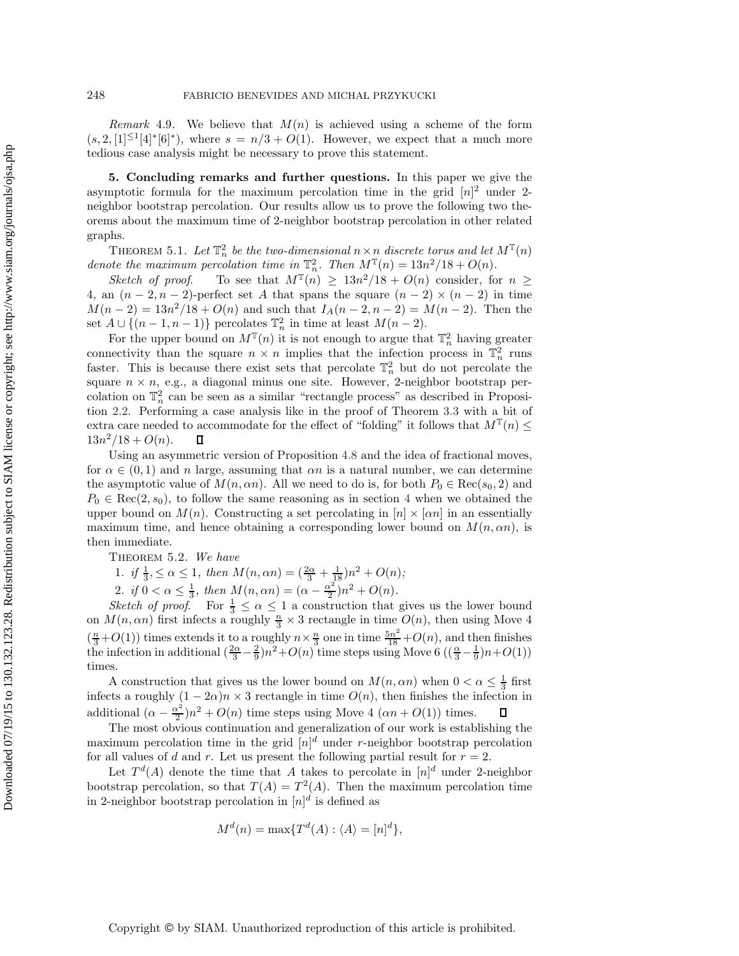*Remark* 4.9. We believe that  $M(n)$  is achieved using a scheme of the form  $(s, 2, 1] \leq 1/4$ <sup>\*</sup>[6]<sup>∗</sup>), where  $s = n/3 + O(1)$ . However, we expect that a much more tedious case analysis might be necessary to prove this statement.

<span id="page-24-0"></span>**5. Concluding remarks and further questions.** In this paper we give the asymptotic formula for the maximum percolation time in the grid  $[n]^2$  under 2neighbor bootstrap percolation. Our results allow us to prove the following two theorems about the maximum time of 2-neighbor bootstrap percolation in other related graphs.

THEOREM 5.1. Let  $\mathbb{T}_n^2$  be the two-dimensional  $n \times n$  discrete torus and let  $M^{\mathbb{T}}(n)$ denote the maximum percolation time in  $\mathbb{T}_n^2$ . Then  $M^{\mathbb{T}}(n) = 13n^2/18 + O(n)$ .

*Sketch of proof.* To see that  $M^{T}(n) \geq 13n^2/18 + O(n)$  consider, for  $n \geq$ 4, an  $(n-2, n-2)$ -perfect set A that spans the square  $(n-2) \times (n-2)$  in time  $M(n-2) = 13n^2/18 + O(n)$  and such that  $I_A(n-2, n-2) = M(n-2)$ . Then the set  $A \cup \{(n-1,n-1)\}\$  percolates  $\mathbb{T}_n^2$  in time at least  $M(n-2)$ .

For the upper bound on  $M^{\mathbb{T}}(n)$  it is not enough to argue that  $\mathbb{T}_n^2$  having greater connectivity than the square  $n \times n$  implies that the infection process in  $\mathbb{T}_n^2$  runs faster. This is because there exist sets that percolate  $\mathbb{T}_n^2$  but do not percolate the square  $n \times n$ , e.g., a diagonal minus one site. However, 2-neighbor bootstrap percolation on  $\mathbb{T}_n^2$  can be seen as a similar "rectangle process" as described in Proposition [2.2.](#page-3-0) Performing a case analysis like in the proof of Theorem [3.3](#page-7-0) with a bit of extra care needed to accommodate for the effect of "folding" it follows that  $M^{\mathbb{T}}(n) \leq$  $13n^2/18 + O(n)$ . Д

Using an asymmetric version of Proposition [4.8](#page-18-4) and the idea of fractional moves, for  $\alpha \in (0,1)$  and n large, assuming that  $\alpha n$  is a natural number, we can determine the asymptotic value of  $M(n, \alpha n)$ . All we need to do is, for both  $P_0 \in \text{Rec}(s_0, 2)$  and  $P_0 \in \text{Rec}(2, s_0)$ , to follow the same reasoning as in section [4](#page-15-0) when we obtained the upper bound on  $M(n)$ . Constructing a set percolating in  $[n] \times [\alpha n]$  in an essentially maximum time, and hence obtaining a corresponding lower bound on  $M(n, \alpha n)$ , is then immediate.

Theorem 5.2. *We have*

1. if 
$$
\frac{1}{3}, \leq \alpha \leq 1
$$
, then  $M(n, \alpha n) = (\frac{2\alpha}{3} + \frac{1}{18})n^2 + O(n)$ ;

1. if  $\frac{1}{3}$ ,  $\leq \alpha \leq 1$ , then  $M(n, \alpha n) = (\frac{2\alpha}{3} + \frac{1}{18})n^2 + O(n)$ ;<br>
2. if  $0 < \alpha \leq \frac{1}{3}$ , then  $M(n, \alpha n) = (\alpha - \frac{\alpha^2}{2})n^2 + O(n)$ .<br>
Sketch of proof. For  $\frac{1}{3} \leq \alpha \leq 1$  a construction that gives us the lower bound<br> on  $M(n, \alpha n)$  first infects a roughly  $\frac{n}{3} \times 3$  rectangle in time  $O(n)$ , then using Move 4  $\left(\frac{n}{3}+O(1)\right)$  times extends it to a roughly  $n \times \frac{n}{3}$  one in time  $\frac{5n^2}{18}+O(n)$ , and then finishes the infection in additional  $\left(\frac{2\alpha}{3}-\frac{2}{9}\right)n^2+O(n)$  time steps using Move 6  $\left(\left(\frac{\alpha}{3}-\frac{1}{9}\right)n+O(1)\right)$  t times.

A construction that gives us the lower bound on  $M(n, \alpha n)$  when  $0 < \alpha \leq \frac{1}{3}$  first<br>ts a roughly  $(1 - 2\alpha)n \times 3$  rectangle in time  $O(n)$  then finishes the infection in infects a roughly  $(1 - 2\alpha)n \times 3$  rectangle in time  $O(n)$ , then finishes the infection in additional  $(\alpha - \frac{\alpha^2}{2})n^2 + O(n)$  time steps using Move 4  $(\alpha n + O(1))$  times.<br>The most obvious continuation and generalization of our work is ostable.

The most obvious continuation and generalization of our work is establishing the maximum percolation time in the grid  $[n]^d$  under r-neighbor bootstrap percolation for all values of d and r. Let us present the following partial result for  $r = 2$ .

Let  $T<sup>d</sup>(A)$  denote the time that A takes to percolate in  $[n]$ <sup>d</sup> under 2-neighbor bootstrap percolation, so that  $T(A) = T^2(A)$ . Then the maximum percolation time in 2-neighbor bootstrap percolation in  $[n]^d$  is defined as

$$
M^{d}(n) = \max\{T^{d}(A) : \langle A \rangle = [n]^{d}\},\
$$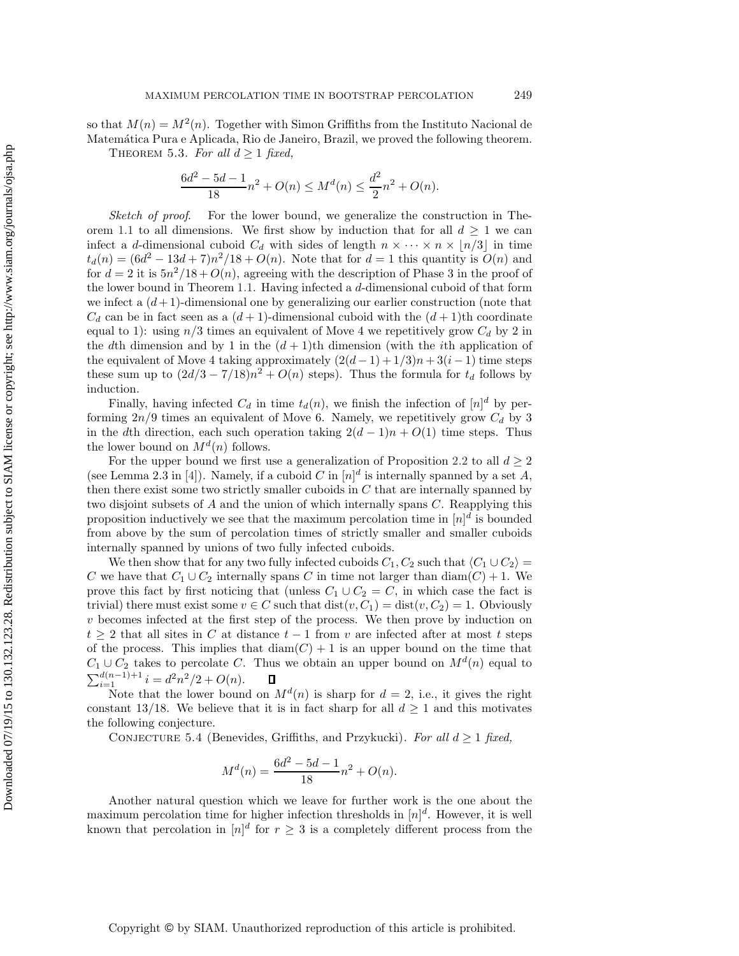so that  $M(n) = M^2(n)$ . Together with Simon Griffiths from the Instituto Nacional de Matemática Pura e Aplicada, Rio de Janeiro, Brazil, we proved the following theorem. THEOREM 5.3. For all  $d \geq 1$  fixed,

$$
\frac{6d^2 - 5d - 1}{18}n^2 + O(n) \le M^d(n) \le \frac{d^2}{2}n^2 + O(n).
$$

*Sketch of proof*. For the lower bound, we generalize the construction in The-orem [1.1](#page-1-0) to all dimensions. We first show by induction that for all  $d \geq 1$  we can infect a d-dimensional cuboid  $C_d$  with sides of length  $n \times \cdots \times n \times \lfloor n/3 \rfloor$  in time  $t_d(n) = (6d^2 - 13d + 7)n^2/18 + O(n)$ . Note that for  $d = 1$  this quantity is  $O(n)$  and for  $d = 2$  it is  $5n^2/18 + O(n)$ , agreeing with the description of Phase 3 in the proof of the lower bound in Theorem [1.1.](#page-1-0) Having infected a  $d$ -dimensional cuboid of that form we infect a  $(d+1)$ -dimensional one by generalizing our earlier construction (note that  $C_d$  can be in fact seen as a  $(d+1)$ -dimensional cuboid with the  $(d+1)$ th coordinate equal to 1): using  $n/3$  times an equivalent of Move 4 we repetitively grow  $C_d$  by 2 in the dth dimension and by 1 in the  $(d+1)$ th dimension (with the *i*th application of the equivalent of Move 4 taking approximately  $(2(d-1) + 1/3)n + 3(i-1)$  time steps these sum up to  $\left(\frac{2d}{3} - \frac{7}{18}\right)n^2 + O(n)$  steps). Thus the formula for  $t_d$  follows by induction.

Finally, having infected  $C_d$  in time  $t_d(n)$ , we finish the infection of  $[n]^d$  by performing  $2n/9$  times an equivalent of Move 6. Namely, we repetitively grow  $C_d$  by 3 in the dth direction, each such operation taking  $2(d-1)n + O(1)$  time steps. Thus the lower bound on  $M^{d}(n)$  follows.

For the upper bound we first use a generalization of Proposition [2.2](#page-3-0) to all  $d \geq 2$ (see Lemma 2.3 in [\[4\]](#page-27-20)). Namely, if a cuboid C in  $[n]^d$  is internally spanned by a set A, then there exist some two strictly smaller cuboids in  $C$  that are internally spanned by two disjoint subsets of A and the union of which internally spans C. Reapplying this proposition inductively we see that the maximum percolation time in  $[n]^{d}$  is bounded from above by the sum of percolation times of strictly smaller and smaller cuboids internally spanned by unions of two fully infected cuboids.

We then show that for any two fully infected cuboids  $C_1, C_2$  such that  $\langle C_1 \cup C_2 \rangle =$ C we have that  $C_1 \cup C_2$  internally spans C in time not larger than  $diam(C) + 1$ . We prove this fact by first noticing that (unless  $C_1 \cup C_2 = C$ , in which case the fact is trivial) there must exist some  $v \in C$  such that  $dist(v, C_1) = dist(v, C_2) = 1$ . Obviously  $v$  becomes infected at the first step of the process. We then prove by induction on  $t > 2$  that all sites in C at distance  $t - 1$  from v are infected after at most t steps of the process. This implies that  $diam(C) + 1$  is an upper bound on the time that  $C_1 \cup C_2$  takes to percolate C. Thus we obtain an upper bound on  $M<sup>d</sup>(n)$  equal to  $\sum_{i=1}^{d(n-1)+1} i = d^2n^2/2 + O(n).$  Note that the lower bound

Note that the lower bound on  $M^{d}(n)$  is sharp for  $d = 2$ , i.e., it gives the right constant 13/18. We believe that it is in fact sharp for all  $d \geq 1$  and this motivates the following conjecture.

CONJECTURE 5.4 (Benevides, Griffiths, and Przykucki). For all  $d \geq 1$  fixed,

$$
M^{d}(n) = \frac{6d^{2} - 5d - 1}{18}n^{2} + O(n).
$$

Another natural question which we leave for further work is the one about the maximum percolation time for higher infection thresholds in  $[n]^d$ . However, it is well known that percolation in  $[n]^d$  for  $r \geq 3$  is a completely different process from the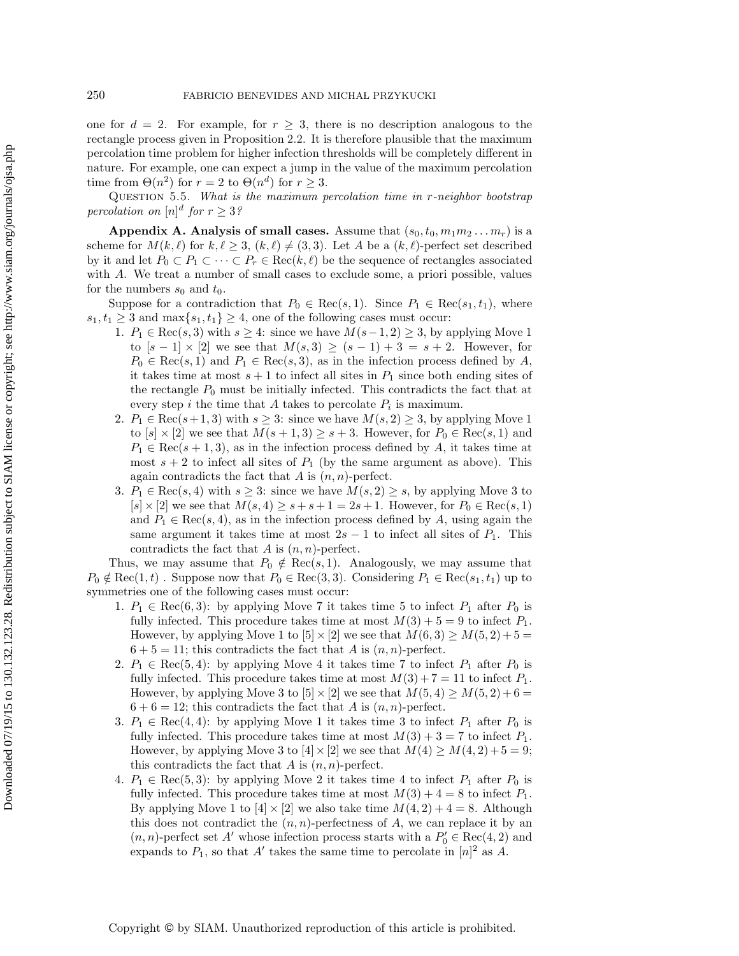one for  $d = 2$ . For example, for  $r \geq 3$ , there is no description analogous to the rectangle process given in Proposition [2.2.](#page-3-0) It is therefore plausible that the maximum percolation time problem for higher infection thresholds will be completely different in nature. For example, one can expect a jump in the value of the maximum percolation time from  $\Theta(n^2)$  for  $r = 2$  to  $\Theta(n^d)$  for  $r \geq 3$ .

<span id="page-26-0"></span>Question 5.5. *What is the maximum percolation time in* r*-neighbor bootstrap*  $percolation on [n]$ <sup>d</sup> for  $r \geq 3$ ?

**Appendix A. Analysis of small cases.** Assume that  $(s_0, t_0, m_1 m_2 \ldots m_r)$  is a scheme for  $M(k, \ell)$  for  $k, \ell \geq 3$ ,  $(k, \ell) \neq (3, 3)$ . Let A be a  $(k, \ell)$ -perfect set described by it and let  $P_0 \subset P_1 \subset \cdots \subset P_r \in \text{Rec}(k, \ell)$  be the sequence of rectangles associated<br>with 4. We treat a number of small esses to such degree a priori possible reluce with A. We treat a number of small cases to exclude some, a priori possible, values for the numbers  $s_0$  and  $t_0$ .

Suppose for a contradiction that  $P_0 \in \text{Rec}(s, 1)$ . Since  $P_1 \in \text{Rec}(s_1, t_1)$ , where  $s_1, t_1 \geq 3$  and  $\max\{s_1, t_1\} \geq 4$ , one of the following cases must occur:

- 1.  $P_1 \in \text{Rec}(s, 3)$  with  $s \geq 4$ : since we have  $M(s-1, 2) \geq 3$ , by applying Move 1 to  $[s-1] \times [2]$  we see that  $M(s,3) \ge (s-1)+3 = s+2$ . However, for  $P_0 \in \text{Rec}(s, 1)$  and  $P_1 \in \text{Rec}(s, 3)$ , as in the infection process defined by A, it takes time at meat a  $\vert 1$  to infect all sites in B since hath and ing sites of it takes time at most  $s + 1$  to infect all sites in  $P_1$  since both ending sites of the rectangle  $P_0$  must be initially infected. This contradicts the fact that at every step i the time that A takes to percolate  $P_i$  is maximum.
- 2.  $P_1 \in \text{Rec}(s+1, 3)$  with  $s \geq 3$ : since we have  $M(s, 2) \geq 3$ , by applying Move 1 to  $[s] \times [2]$  we see that  $M(s + 1, 3) \geq s + 3$ . However, for  $P_0 \in \text{Rec}(s, 1)$  and  $P_1 \in \text{Rec}(s+1, 3)$ , as in the infection process defined by A, it takes time at most  $s + 2$  to infect all sites of  $P_1$  (by the same argument as above). This again contradicts the fact that  $A$  is  $(n, n)$ -perfect.
- 3.  $P_1 \in \text{Rec}(s, 4)$  with  $s \geq 3$ : since we have  $M(s, 2) \geq s$ , by applying Move 3 to  $[s] \times [2]$  we see that  $M(s, 4) \geq s + s + 1 = 2s + 1$ . However, for  $P_0 \in \text{Rec}(s, 1)$ and  $P_1 \in \text{Rec}(s, 4)$ , as in the infection process defined by A, using again the same argument it takes time at most  $2s - 1$  to infect all sites of  $P_1$ . This contradicts the fact that  $A$  is  $(n, n)$ -perfect.

Thus, we may assume that  $P_0 \notin \text{Rec}(s, 1)$ . Analogously, we may assume that  $P_0 \notin \text{Rec}(1, t)$ . Suppose now that  $P_0 \in \text{Rec}(3, 3)$ . Considering  $P_1 \in \text{Rec}(s_1, t_1)$  up to symmetries one of the following cases must occur:

- 1.  $P_1 \in \text{Rec}(6, 3)$ : by applying Move 7 it takes time 5 to infect  $P_1$  after  $P_0$  is fully infected. This procedure takes time at most  $M(3) + 5 = 9$  to infect  $P_1$ . However, by applying Move 1 to  $[5] \times [2]$  we see that  $M(6, 3) \ge M(5, 2) + 5 =$  $6 + 5 = 11$ ; this contradicts the fact that A is  $(n, n)$ -perfect.
- 2.  $P_1 \in \text{Rec}(5, 4)$ : by applying Move 4 it takes time 7 to infect  $P_1$  after  $P_0$  is fully infected. This procedure takes time at most  $M(3) + 7 = 11$  to infect  $P_1$ . However, by applying Move 3 to  $[5] \times [2]$  we see that  $M(5, 4) \geq M(5, 2) + 6 =$  $6 + 6 = 12$ ; this contradicts the fact that A is  $(n, n)$ -perfect.
- 3.  $P_1 \in \text{Rec}(4, 4)$ : by applying Move 1 it takes time 3 to infect  $P_1$  after  $P_0$  is fully infected. This procedure takes time at most  $M(3) + 3 = 7$  to infect  $P_1$ . However, by applying Move 3 to  $[4] \times [2]$  we see that  $M(4) \geq M(4, 2) + 5 = 9$ ; this contradicts the fact that  $A$  is  $(n, n)$ -perfect.
- 4.  $P_1 \in \text{Rec}(5, 3)$ : by applying Move 2 it takes time 4 to infect  $P_1$  after  $P_0$  is fully infected. This procedure takes time at most  $M(3) + 4 = 8$  to infect  $P_1$ . By applying Move 1 to  $[4] \times [2]$  we also take time  $M(4,2) + 4 = 8$ . Although this does not contradict the  $(n, n)$ -perfectness of A, we can replace it by an  $(n, n)$ -perfect set A' whose infection process starts with a  $P'_0 \in \text{Rec}(4, 2)$  and<br>expands to B, so that A' takes the same time to percelate in  $[n]^2$  as A expands to  $P_1$ , so that A' takes the same time to percolate in  $[n]^2$  as A.